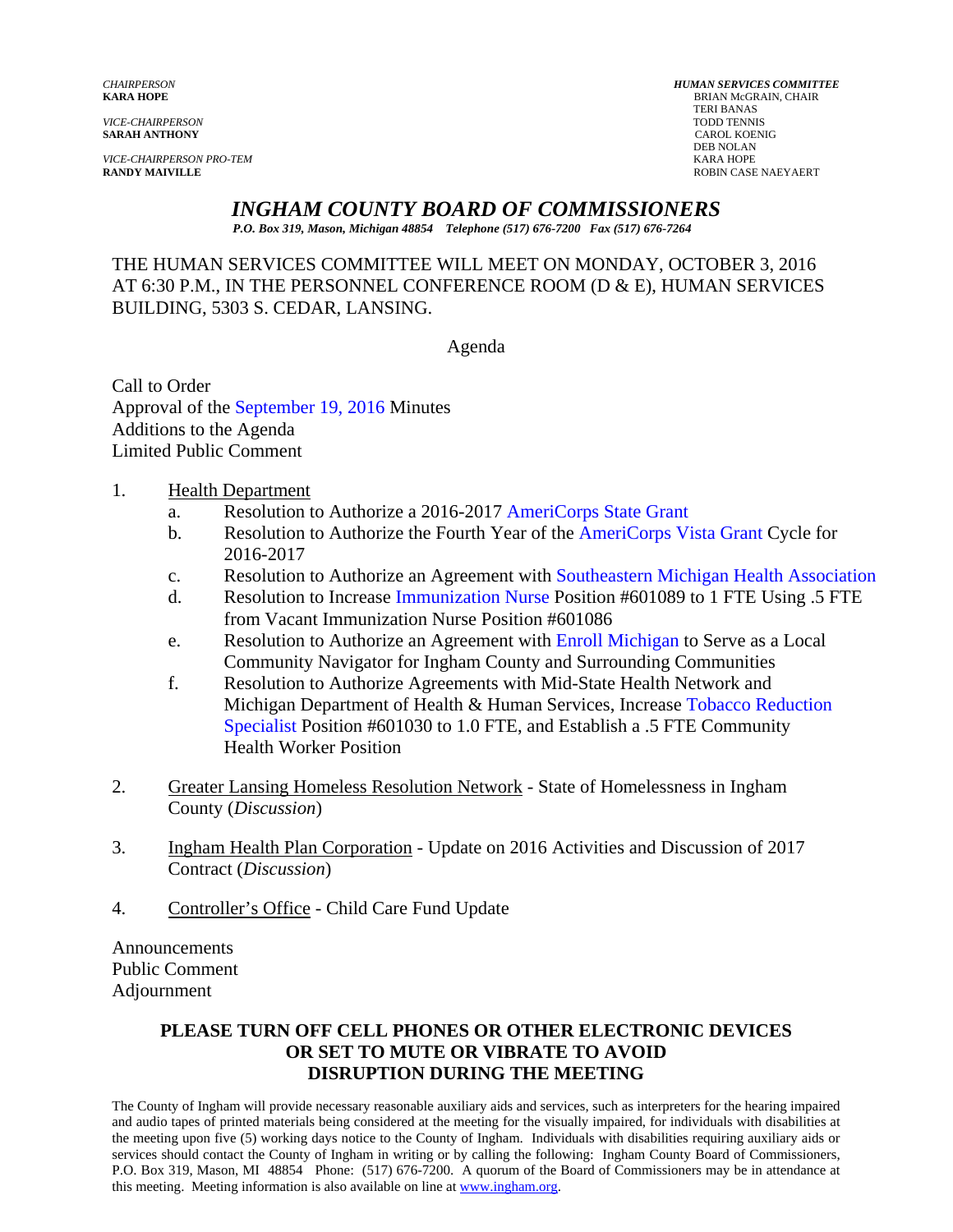**SARAH ANTHONY** 

*VICE-CHAIRPERSON PRO-TEM*<br>**RANDY MAIVILLE** 

*CHAIRPERSON HUMAN SERVICES COMMITTEE* **BRIAN McGRAIN, CHAIR**  TERI BANAS *VICE-CHAIRPERSON* TODD TENNIS DEB NOLAN<br>KARA HOPE **ROBIN CASE NAEYAERT** 

## *INGHAM COUNTY BOARD OF COMMISSIONERS*

*P.O. Box 319, Mason, Michigan 48854 Telephone (517) 676-7200 Fax (517) 676-7264*

THE HUMAN SERVICES COMMITTEE WILL MEET ON MONDAY, OCTOBER 3, 2016 AT 6:30 P.M., IN THE PERSONNEL CONFERENCE ROOM (D & E), HUMAN SERVICES BUILDING, 5303 S. CEDAR, LANSING.

Agenda

Call to Order Approval of [the September 19, 2016 Minutes](#page-1-0)  Additions to the Agenda Limited Public Comment

- 1. Health Department
	- a. Resolution to Authorize a 2016-201[7 AmeriCorps State Grant](#page-12-0)
	- b. Resolution to Authorize the Fourth Year of th[e AmeriCorps Vista Grant Cycle for](#page-15-0) 2016-2017
	- c. Resolution to Authorize an Agreement with [Southeastern Michigan Health Association](#page-19-0)
	- d. Resolution to Increas[e Immunization Nurse](#page-21-0) Position #601089 to 1 FTE Using .5 FTE from Vacant Immunization Nurse Position #601086
	- e. Resolution to Authorize an Agreement wit[h Enroll Michigan to Serve as](#page-23-0) a Local Community Navigator for Ingham County and Surrounding Communities
	- f. Resolution to Authorize Agreements with Mid-State Health Network and [Michigan Department of Health & Human Services, Increase Tobacco Reduction](#page-25-0) Specialist Position #601030 to 1.0 FTE, and Establish a .5 FTE Community Health Worker Position
- 2. Greater Lansing Homeless Resolution Network State of Homelessness in Ingham County (*Discussion*)
- 3. Ingham Health Plan Corporation Update on 2016 Activities and Discussion of 2017 Contract (*Discussion*)
- 4. Controller's Office Child Care Fund Update

Announcements Public Comment Adjournment

#### **PLEASE TURN OFF CELL PHONES OR OTHER ELECTRONIC DEVICES OR SET TO MUTE OR VIBRATE TO AVOID DISRUPTION DURING THE MEETING**

The County of Ingham will provide necessary reasonable auxiliary aids and services, such as interpreters for the hearing impaired and audio tapes of printed materials being considered at the meeting for the visually impaired, for individuals with disabilities at the meeting upon five (5) working days notice to the County of Ingham. Individuals with disabilities requiring auxiliary aids or services should contact the County of Ingham in writing or by calling the following: Ingham County Board of Commissioners, P.O. Box 319, Mason, MI 48854 Phone: (517) 676-7200. A quorum of the Board of Commissioners may be in attendance at this meeting. Meeting information is also available on line at www.ingham.org.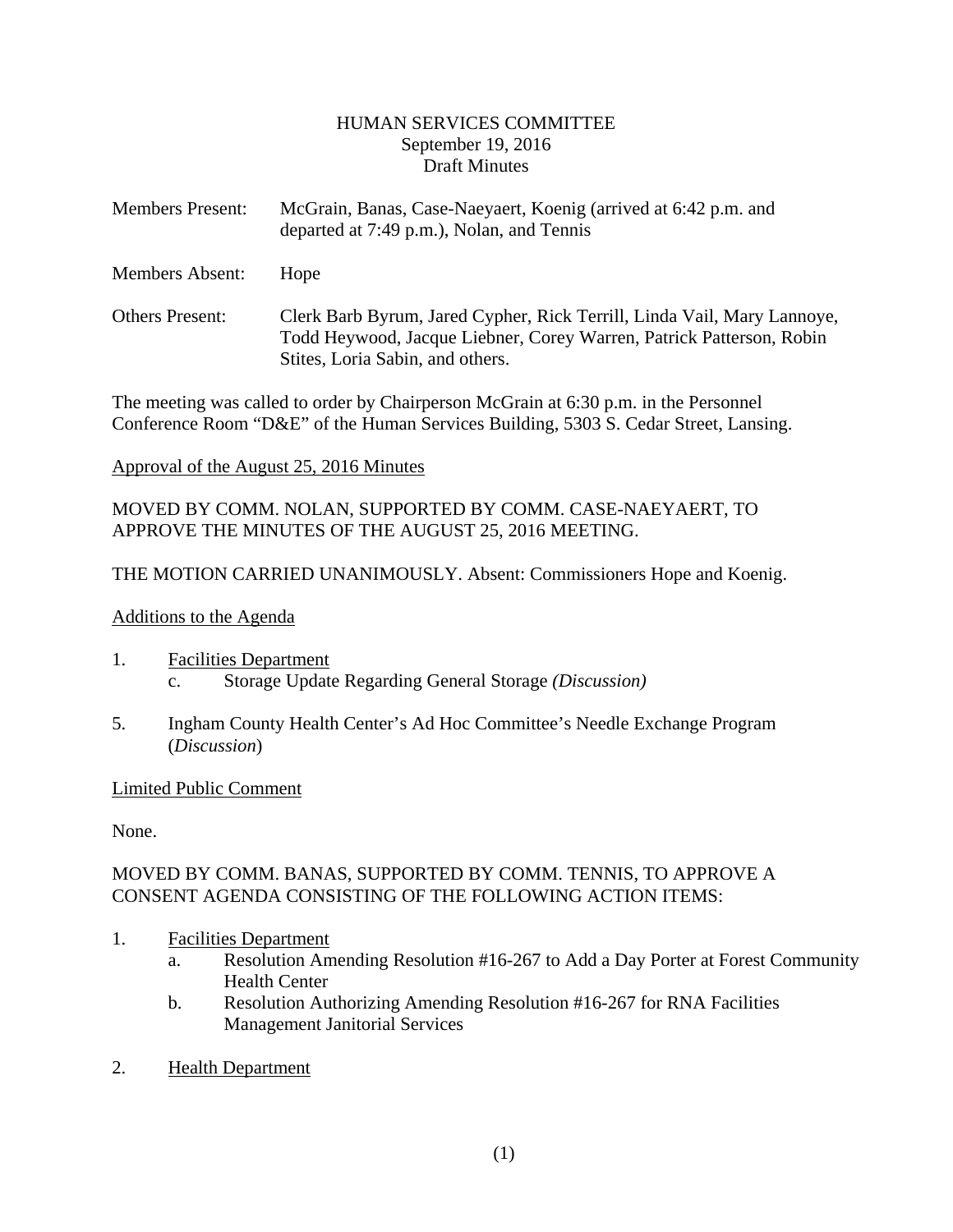#### HUMAN SERVICES COMMITTEE September 19, 2016 Draft Minutes

<span id="page-1-0"></span>Members Present: McGrain, Banas, Case-Naeyaert, Koenig (arrived at 6:42 p.m. and departed at 7:49 p.m.), Nolan, and Tennis

Members Absent: Hope

Others Present: Clerk Barb Byrum, Jared Cypher, Rick Terrill, Linda Vail, Mary Lannoye, Todd Heywood, Jacque Liebner, Corey Warren, Patrick Patterson, Robin Stites, Loria Sabin, and others.

The meeting was called to order by Chairperson McGrain at 6:30 p.m. in the Personnel Conference Room "D&E" of the Human Services Building, 5303 S. Cedar Street, Lansing.

#### Approval of the August 25, 2016 Minutes

MOVED BY COMM. NOLAN, SUPPORTED BY COMM. CASE-NAEYAERT, TO APPROVE THE MINUTES OF THE AUGUST 25, 2016 MEETING.

THE MOTION CARRIED UNANIMOUSLY. Absent: Commissioners Hope and Koenig.

#### Additions to the Agenda

- 1. Facilities Department c. Storage Update Regarding General Storage *(Discussion)*
- 5. Ingham County Health Center's Ad Hoc Committee's Needle Exchange Program (*Discussion*)

#### Limited Public Comment

None.

#### MOVED BY COMM. BANAS, SUPPORTED BY COMM. TENNIS, TO APPROVE A CONSENT AGENDA CONSISTING OF THE FOLLOWING ACTION ITEMS:

- 1. Facilities Department
	- a. Resolution Amending Resolution #16-267 to Add a Day Porter at Forest Community Health Center
	- b. Resolution Authorizing Amending Resolution #16-267 for RNA Facilities Management Janitorial Services
- 2. Health Department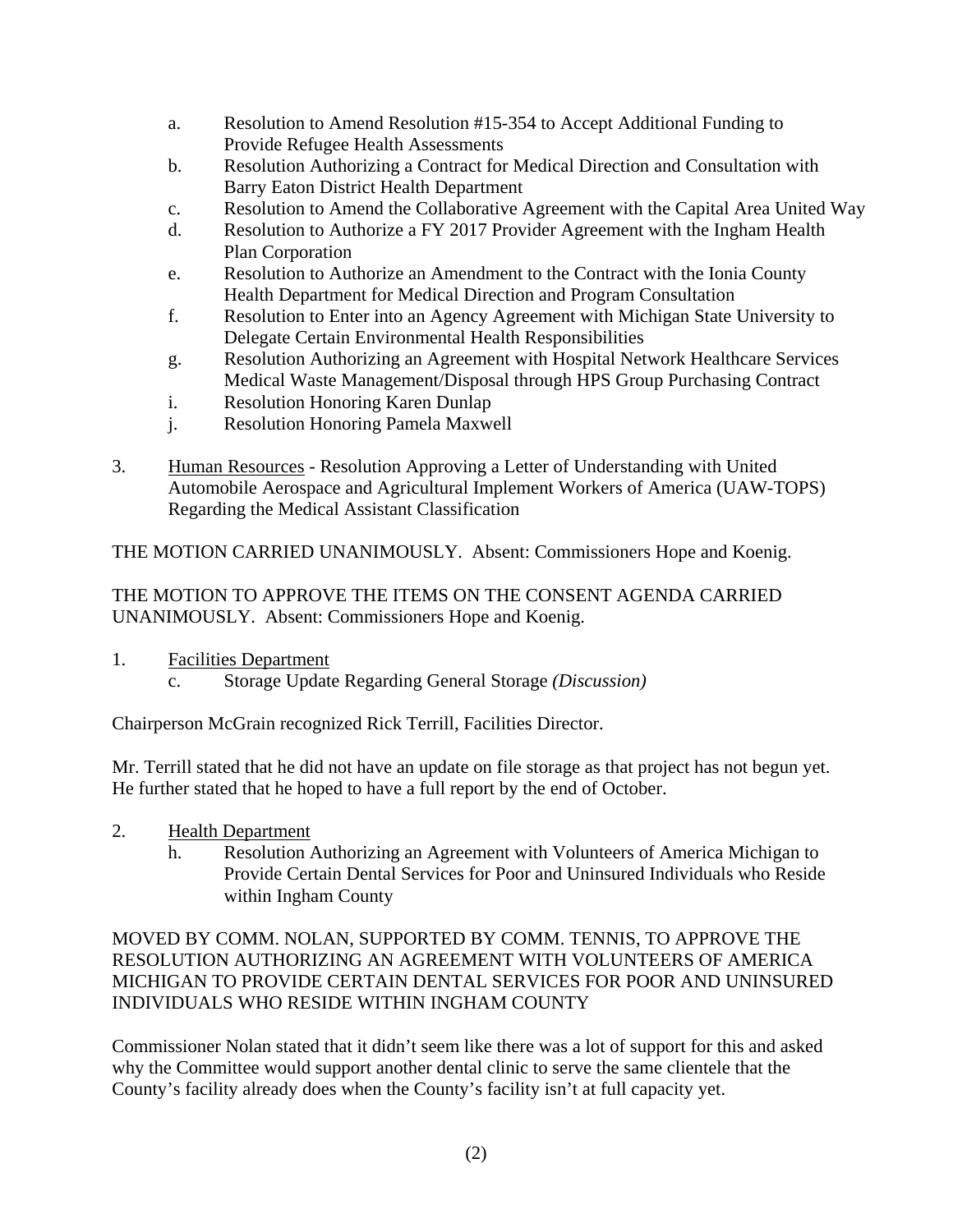- a. Resolution to Amend Resolution #15-354 to Accept Additional Funding to Provide Refugee Health Assessments
- b. Resolution Authorizing a Contract for Medical Direction and Consultation with Barry Eaton District Health Department
- c. Resolution to Amend the Collaborative Agreement with the Capital Area United Way
- d. Resolution to Authorize a FY 2017 Provider Agreement with the Ingham Health Plan Corporation
- e. Resolution to Authorize an Amendment to the Contract with the Ionia County Health Department for Medical Direction and Program Consultation
- f. Resolution to Enter into an Agency Agreement with Michigan State University to Delegate Certain Environmental Health Responsibilities
- g. Resolution Authorizing an Agreement with Hospital Network Healthcare Services Medical Waste Management/Disposal through HPS Group Purchasing Contract
- i. Resolution Honoring Karen Dunlap
- j. Resolution Honoring Pamela Maxwell
- 3. Human Resources Resolution Approving a Letter of Understanding with United Automobile Aerospace and Agricultural Implement Workers of America (UAW-TOPS) Regarding the Medical Assistant Classification

THE MOTION CARRIED UNANIMOUSLY. Absent: Commissioners Hope and Koenig.

THE MOTION TO APPROVE THE ITEMS ON THE CONSENT AGENDA CARRIED UNANIMOUSLY. Absent: Commissioners Hope and Koenig.

- 1. Facilities Department
	- c. Storage Update Regarding General Storage *(Discussion)*

Chairperson McGrain recognized Rick Terrill, Facilities Director.

Mr. Terrill stated that he did not have an update on file storage as that project has not begun yet. He further stated that he hoped to have a full report by the end of October.

- 2. Health Department
	- h. Resolution Authorizing an Agreement with Volunteers of America Michigan to Provide Certain Dental Services for Poor and Uninsured Individuals who Reside within Ingham County

## MOVED BY COMM. NOLAN, SUPPORTED BY COMM. TENNIS, TO APPROVE THE RESOLUTION AUTHORIZING AN AGREEMENT WITH VOLUNTEERS OF AMERICA MICHIGAN TO PROVIDE CERTAIN DENTAL SERVICES FOR POOR AND UNINSURED INDIVIDUALS WHO RESIDE WITHIN INGHAM COUNTY

Commissioner Nolan stated that it didn't seem like there was a lot of support for this and asked why the Committee would support another dental clinic to serve the same clientele that the County's facility already does when the County's facility isn't at full capacity yet.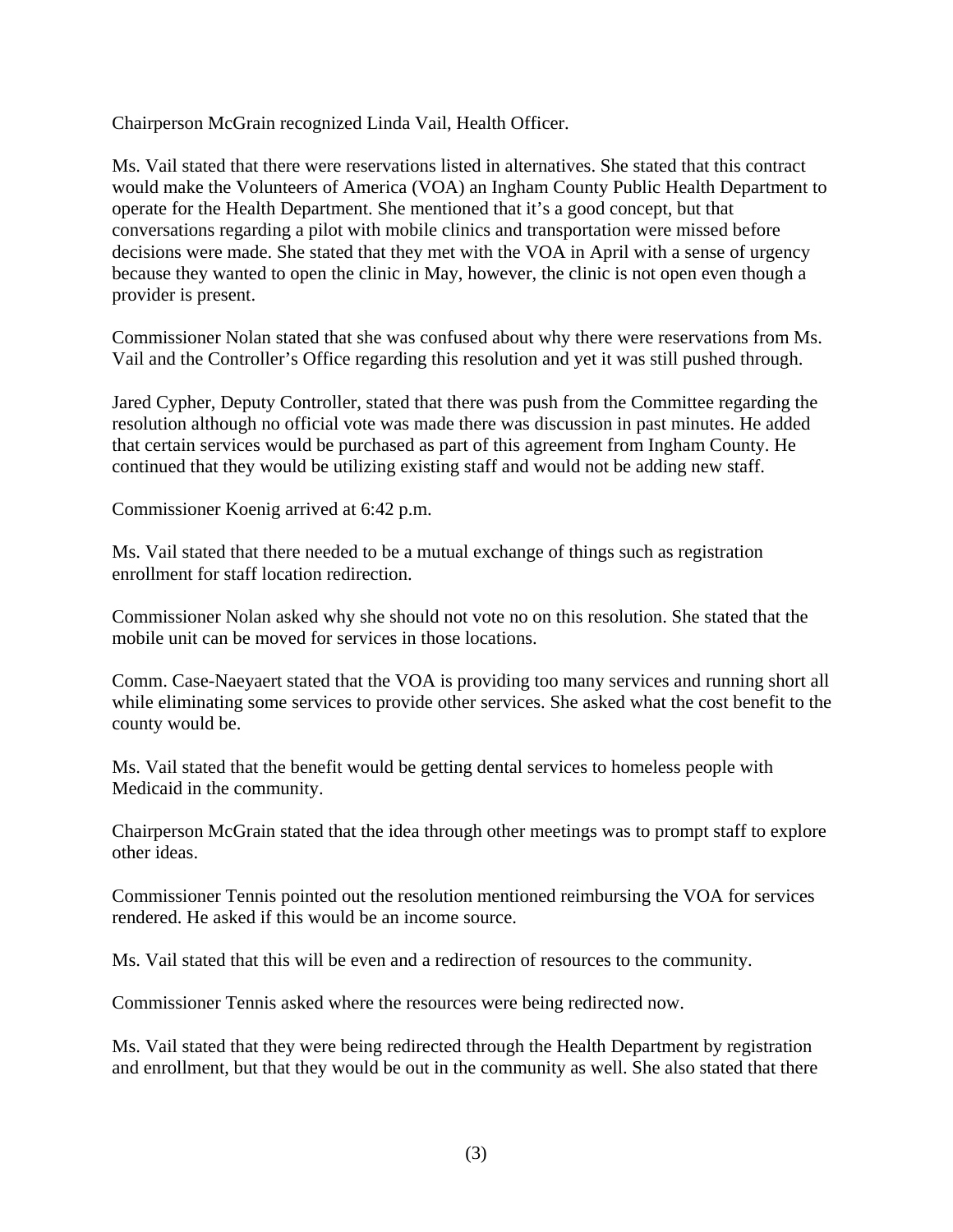Chairperson McGrain recognized Linda Vail, Health Officer.

Ms. Vail stated that there were reservations listed in alternatives. She stated that this contract would make the Volunteers of America (VOA) an Ingham County Public Health Department to operate for the Health Department. She mentioned that it's a good concept, but that conversations regarding a pilot with mobile clinics and transportation were missed before decisions were made. She stated that they met with the VOA in April with a sense of urgency because they wanted to open the clinic in May, however, the clinic is not open even though a provider is present.

Commissioner Nolan stated that she was confused about why there were reservations from Ms. Vail and the Controller's Office regarding this resolution and yet it was still pushed through.

Jared Cypher, Deputy Controller, stated that there was push from the Committee regarding the resolution although no official vote was made there was discussion in past minutes. He added that certain services would be purchased as part of this agreement from Ingham County. He continued that they would be utilizing existing staff and would not be adding new staff.

Commissioner Koenig arrived at 6:42 p.m.

Ms. Vail stated that there needed to be a mutual exchange of things such as registration enrollment for staff location redirection.

Commissioner Nolan asked why she should not vote no on this resolution. She stated that the mobile unit can be moved for services in those locations.

Comm. Case-Naeyaert stated that the VOA is providing too many services and running short all while eliminating some services to provide other services. She asked what the cost benefit to the county would be.

Ms. Vail stated that the benefit would be getting dental services to homeless people with Medicaid in the community.

Chairperson McGrain stated that the idea through other meetings was to prompt staff to explore other ideas.

Commissioner Tennis pointed out the resolution mentioned reimbursing the VOA for services rendered. He asked if this would be an income source.

Ms. Vail stated that this will be even and a redirection of resources to the community.

Commissioner Tennis asked where the resources were being redirected now.

Ms. Vail stated that they were being redirected through the Health Department by registration and enrollment, but that they would be out in the community as well. She also stated that there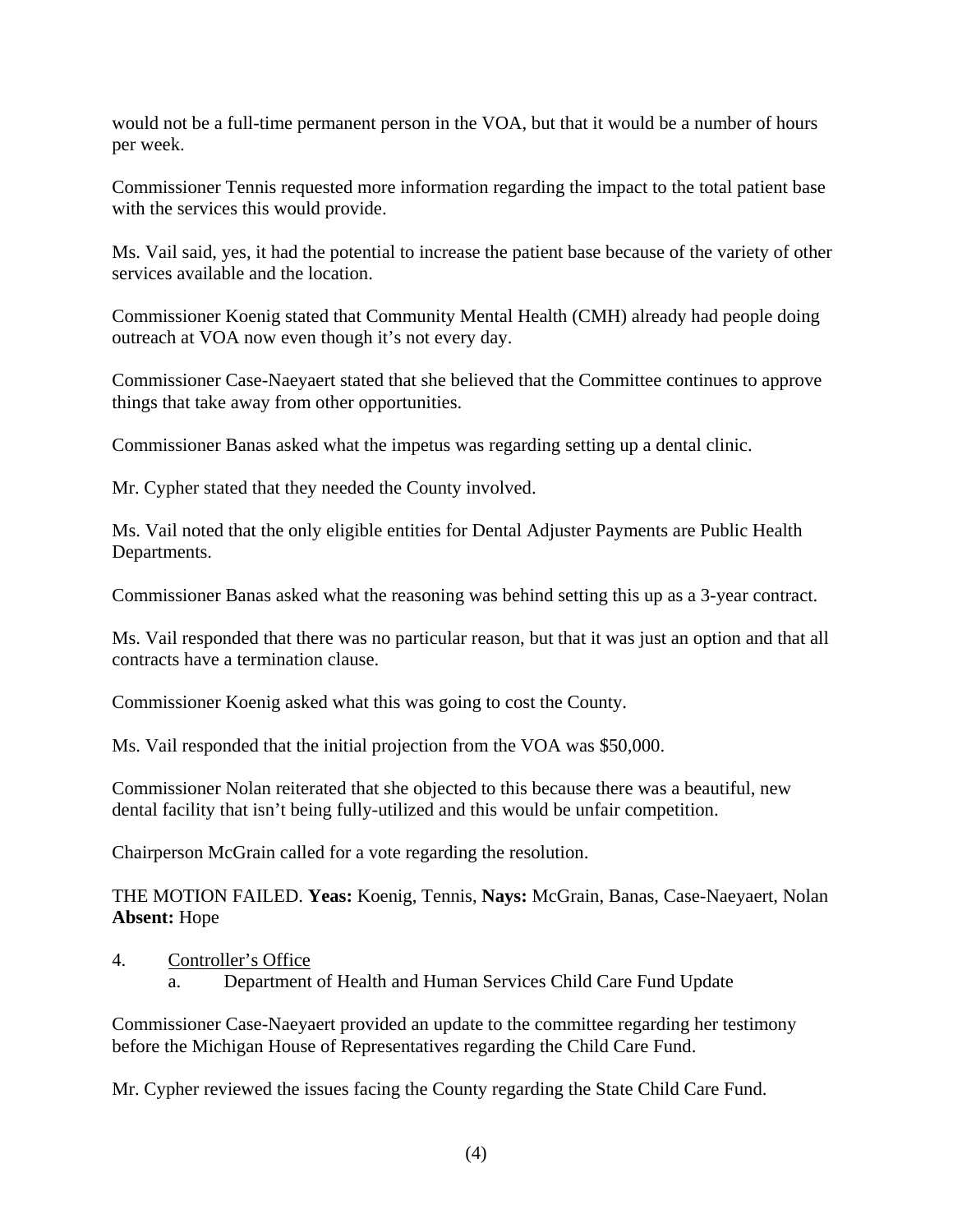would not be a full-time permanent person in the VOA, but that it would be a number of hours per week.

Commissioner Tennis requested more information regarding the impact to the total patient base with the services this would provide.

Ms. Vail said, yes, it had the potential to increase the patient base because of the variety of other services available and the location.

Commissioner Koenig stated that Community Mental Health (CMH) already had people doing outreach at VOA now even though it's not every day.

Commissioner Case-Naeyaert stated that she believed that the Committee continues to approve things that take away from other opportunities.

Commissioner Banas asked what the impetus was regarding setting up a dental clinic.

Mr. Cypher stated that they needed the County involved.

Ms. Vail noted that the only eligible entities for Dental Adjuster Payments are Public Health Departments.

Commissioner Banas asked what the reasoning was behind setting this up as a 3-year contract.

Ms. Vail responded that there was no particular reason, but that it was just an option and that all contracts have a termination clause.

Commissioner Koenig asked what this was going to cost the County.

Ms. Vail responded that the initial projection from the VOA was \$50,000.

Commissioner Nolan reiterated that she objected to this because there was a beautiful, new dental facility that isn't being fully-utilized and this would be unfair competition.

Chairperson McGrain called for a vote regarding the resolution.

THE MOTION FAILED. **Yeas:** Koenig, Tennis, **Nays:** McGrain, Banas, Case-Naeyaert, Nolan **Absent:** Hope

## 4. Controller's Office

a. Department of Health and Human Services Child Care Fund Update

Commissioner Case-Naeyaert provided an update to the committee regarding her testimony before the Michigan House of Representatives regarding the Child Care Fund.

Mr. Cypher reviewed the issues facing the County regarding the State Child Care Fund.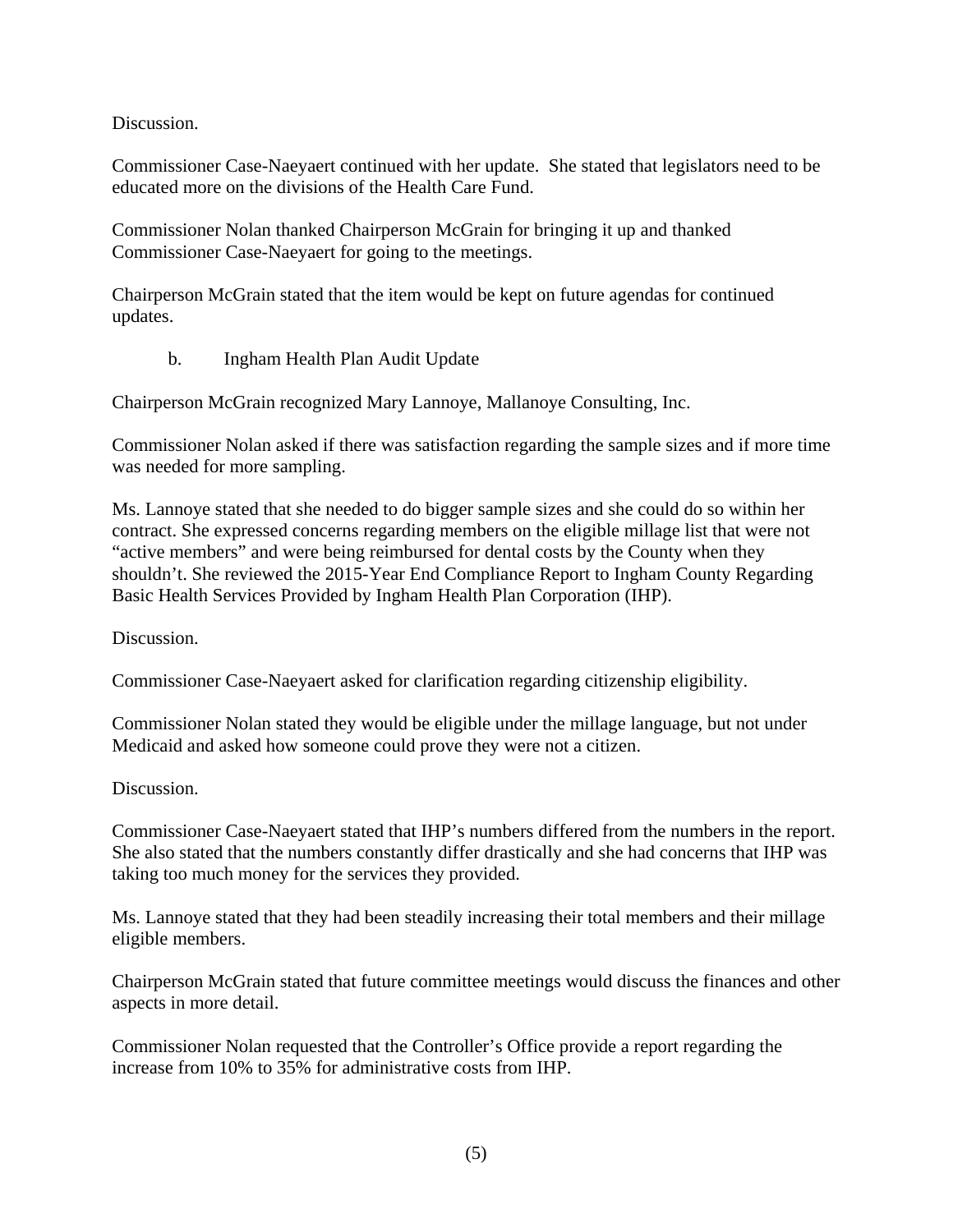Discussion.

Commissioner Case-Naeyaert continued with her update. She stated that legislators need to be educated more on the divisions of the Health Care Fund.

Commissioner Nolan thanked Chairperson McGrain for bringing it up and thanked Commissioner Case-Naeyaert for going to the meetings.

Chairperson McGrain stated that the item would be kept on future agendas for continued updates.

b. Ingham Health Plan Audit Update

Chairperson McGrain recognized Mary Lannoye, Mallanoye Consulting, Inc.

Commissioner Nolan asked if there was satisfaction regarding the sample sizes and if more time was needed for more sampling.

Ms. Lannoye stated that she needed to do bigger sample sizes and she could do so within her contract. She expressed concerns regarding members on the eligible millage list that were not "active members" and were being reimbursed for dental costs by the County when they shouldn't. She reviewed the 2015-Year End Compliance Report to Ingham County Regarding Basic Health Services Provided by Ingham Health Plan Corporation (IHP).

Discussion.

Commissioner Case-Naeyaert asked for clarification regarding citizenship eligibility.

Commissioner Nolan stated they would be eligible under the millage language, but not under Medicaid and asked how someone could prove they were not a citizen.

Discussion.

Commissioner Case-Naeyaert stated that IHP's numbers differed from the numbers in the report. She also stated that the numbers constantly differ drastically and she had concerns that IHP was taking too much money for the services they provided.

Ms. Lannoye stated that they had been steadily increasing their total members and their millage eligible members.

Chairperson McGrain stated that future committee meetings would discuss the finances and other aspects in more detail.

Commissioner Nolan requested that the Controller's Office provide a report regarding the increase from 10% to 35% for administrative costs from IHP.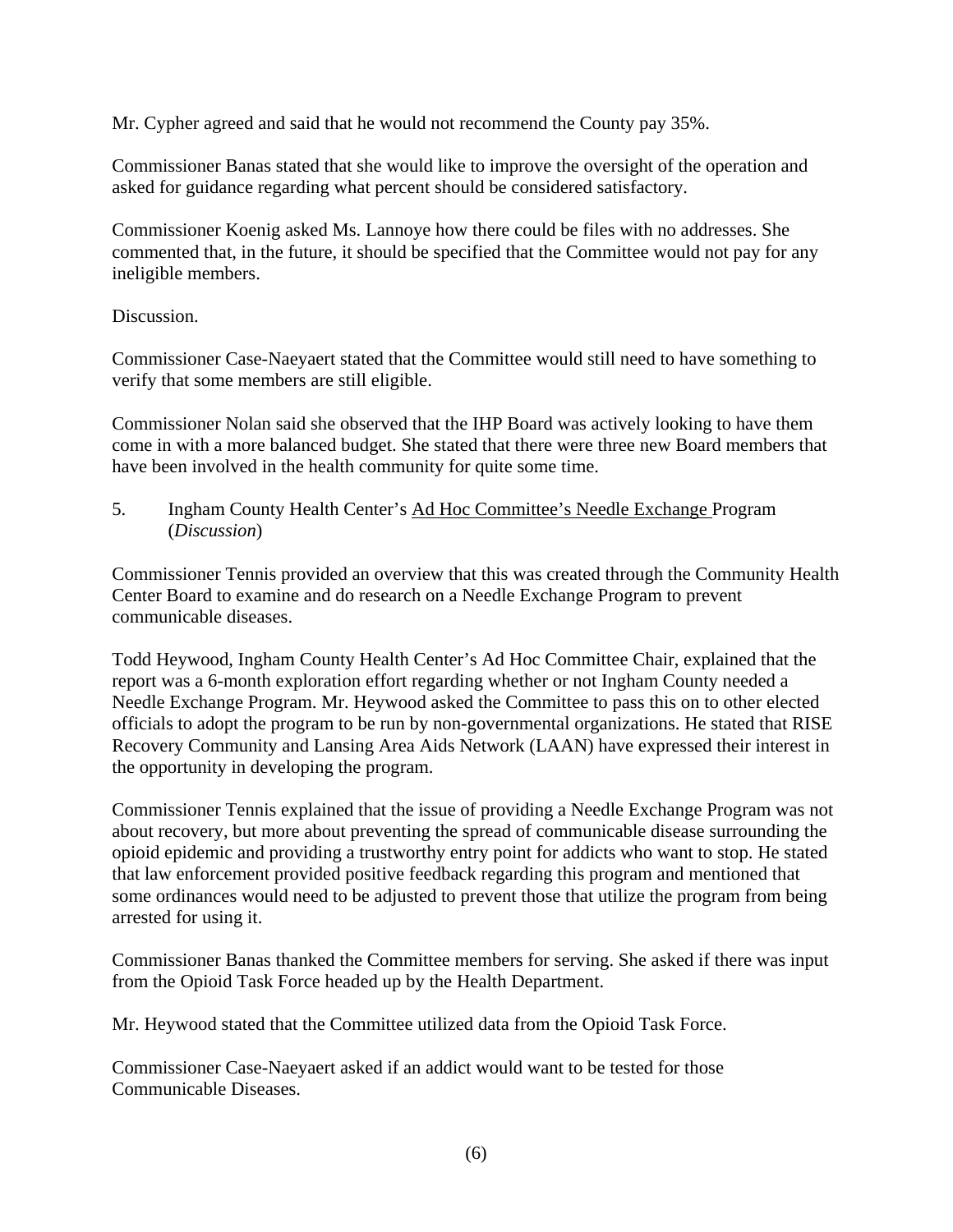Mr. Cypher agreed and said that he would not recommend the County pay 35%.

Commissioner Banas stated that she would like to improve the oversight of the operation and asked for guidance regarding what percent should be considered satisfactory.

Commissioner Koenig asked Ms. Lannoye how there could be files with no addresses. She commented that, in the future, it should be specified that the Committee would not pay for any ineligible members.

Discussion.

Commissioner Case-Naeyaert stated that the Committee would still need to have something to verify that some members are still eligible.

Commissioner Nolan said she observed that the IHP Board was actively looking to have them come in with a more balanced budget. She stated that there were three new Board members that have been involved in the health community for quite some time.

5. Ingham County Health Center's Ad Hoc Committee's Needle Exchange Program (*Discussion*)

Commissioner Tennis provided an overview that this was created through the Community Health Center Board to examine and do research on a Needle Exchange Program to prevent communicable diseases.

Todd Heywood, Ingham County Health Center's Ad Hoc Committee Chair, explained that the report was a 6-month exploration effort regarding whether or not Ingham County needed a Needle Exchange Program. Mr. Heywood asked the Committee to pass this on to other elected officials to adopt the program to be run by non-governmental organizations. He stated that RISE Recovery Community and Lansing Area Aids Network (LAAN) have expressed their interest in the opportunity in developing the program.

Commissioner Tennis explained that the issue of providing a Needle Exchange Program was not about recovery, but more about preventing the spread of communicable disease surrounding the opioid epidemic and providing a trustworthy entry point for addicts who want to stop. He stated that law enforcement provided positive feedback regarding this program and mentioned that some ordinances would need to be adjusted to prevent those that utilize the program from being arrested for using it.

Commissioner Banas thanked the Committee members for serving. She asked if there was input from the Opioid Task Force headed up by the Health Department.

Mr. Heywood stated that the Committee utilized data from the Opioid Task Force.

Commissioner Case-Naeyaert asked if an addict would want to be tested for those Communicable Diseases.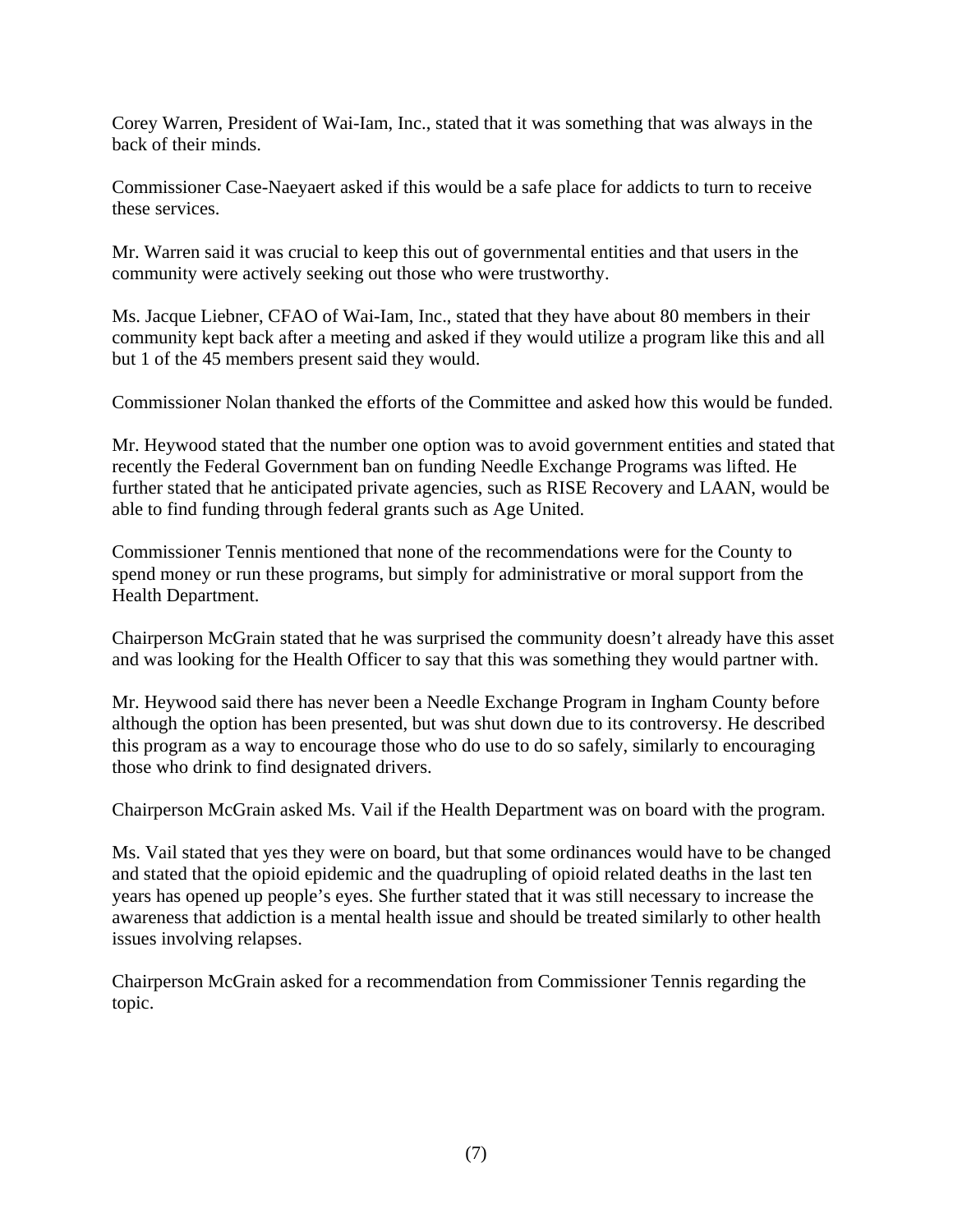Corey Warren, President of Wai-Iam, Inc., stated that it was something that was always in the back of their minds.

Commissioner Case-Naeyaert asked if this would be a safe place for addicts to turn to receive these services.

Mr. Warren said it was crucial to keep this out of governmental entities and that users in the community were actively seeking out those who were trustworthy.

Ms. Jacque Liebner, CFAO of Wai-Iam, Inc., stated that they have about 80 members in their community kept back after a meeting and asked if they would utilize a program like this and all but 1 of the 45 members present said they would.

Commissioner Nolan thanked the efforts of the Committee and asked how this would be funded.

Mr. Heywood stated that the number one option was to avoid government entities and stated that recently the Federal Government ban on funding Needle Exchange Programs was lifted. He further stated that he anticipated private agencies, such as RISE Recovery and LAAN, would be able to find funding through federal grants such as Age United.

Commissioner Tennis mentioned that none of the recommendations were for the County to spend money or run these programs, but simply for administrative or moral support from the Health Department.

Chairperson McGrain stated that he was surprised the community doesn't already have this asset and was looking for the Health Officer to say that this was something they would partner with.

Mr. Heywood said there has never been a Needle Exchange Program in Ingham County before although the option has been presented, but was shut down due to its controversy. He described this program as a way to encourage those who do use to do so safely, similarly to encouraging those who drink to find designated drivers.

Chairperson McGrain asked Ms. Vail if the Health Department was on board with the program.

Ms. Vail stated that yes they were on board, but that some ordinances would have to be changed and stated that the opioid epidemic and the quadrupling of opioid related deaths in the last ten years has opened up people's eyes. She further stated that it was still necessary to increase the awareness that addiction is a mental health issue and should be treated similarly to other health issues involving relapses.

Chairperson McGrain asked for a recommendation from Commissioner Tennis regarding the topic.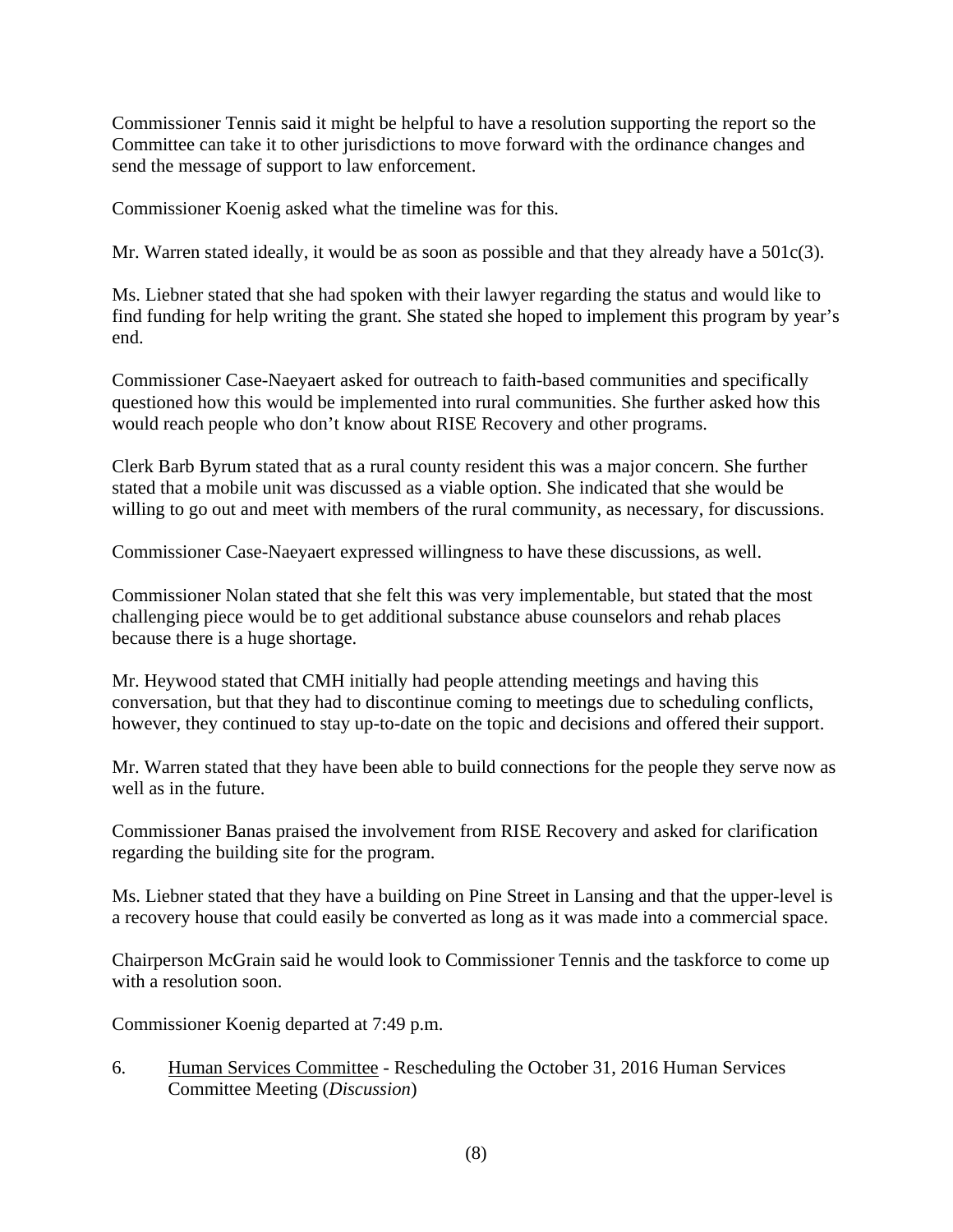Commissioner Tennis said it might be helpful to have a resolution supporting the report so the Committee can take it to other jurisdictions to move forward with the ordinance changes and send the message of support to law enforcement.

Commissioner Koenig asked what the timeline was for this.

Mr. Warren stated ideally, it would be as soon as possible and that they already have a 501c(3).

Ms. Liebner stated that she had spoken with their lawyer regarding the status and would like to find funding for help writing the grant. She stated she hoped to implement this program by year's end.

Commissioner Case-Naeyaert asked for outreach to faith-based communities and specifically questioned how this would be implemented into rural communities. She further asked how this would reach people who don't know about RISE Recovery and other programs.

Clerk Barb Byrum stated that as a rural county resident this was a major concern. She further stated that a mobile unit was discussed as a viable option. She indicated that she would be willing to go out and meet with members of the rural community, as necessary, for discussions.

Commissioner Case-Naeyaert expressed willingness to have these discussions, as well.

Commissioner Nolan stated that she felt this was very implementable, but stated that the most challenging piece would be to get additional substance abuse counselors and rehab places because there is a huge shortage.

Mr. Heywood stated that CMH initially had people attending meetings and having this conversation, but that they had to discontinue coming to meetings due to scheduling conflicts, however, they continued to stay up-to-date on the topic and decisions and offered their support.

Mr. Warren stated that they have been able to build connections for the people they serve now as well as in the future.

Commissioner Banas praised the involvement from RISE Recovery and asked for clarification regarding the building site for the program.

Ms. Liebner stated that they have a building on Pine Street in Lansing and that the upper-level is a recovery house that could easily be converted as long as it was made into a commercial space.

Chairperson McGrain said he would look to Commissioner Tennis and the taskforce to come up with a resolution soon.

Commissioner Koenig departed at 7:49 p.m.

6. Human Services Committee - Rescheduling the October 31, 2016 Human Services Committee Meeting (*Discussion*)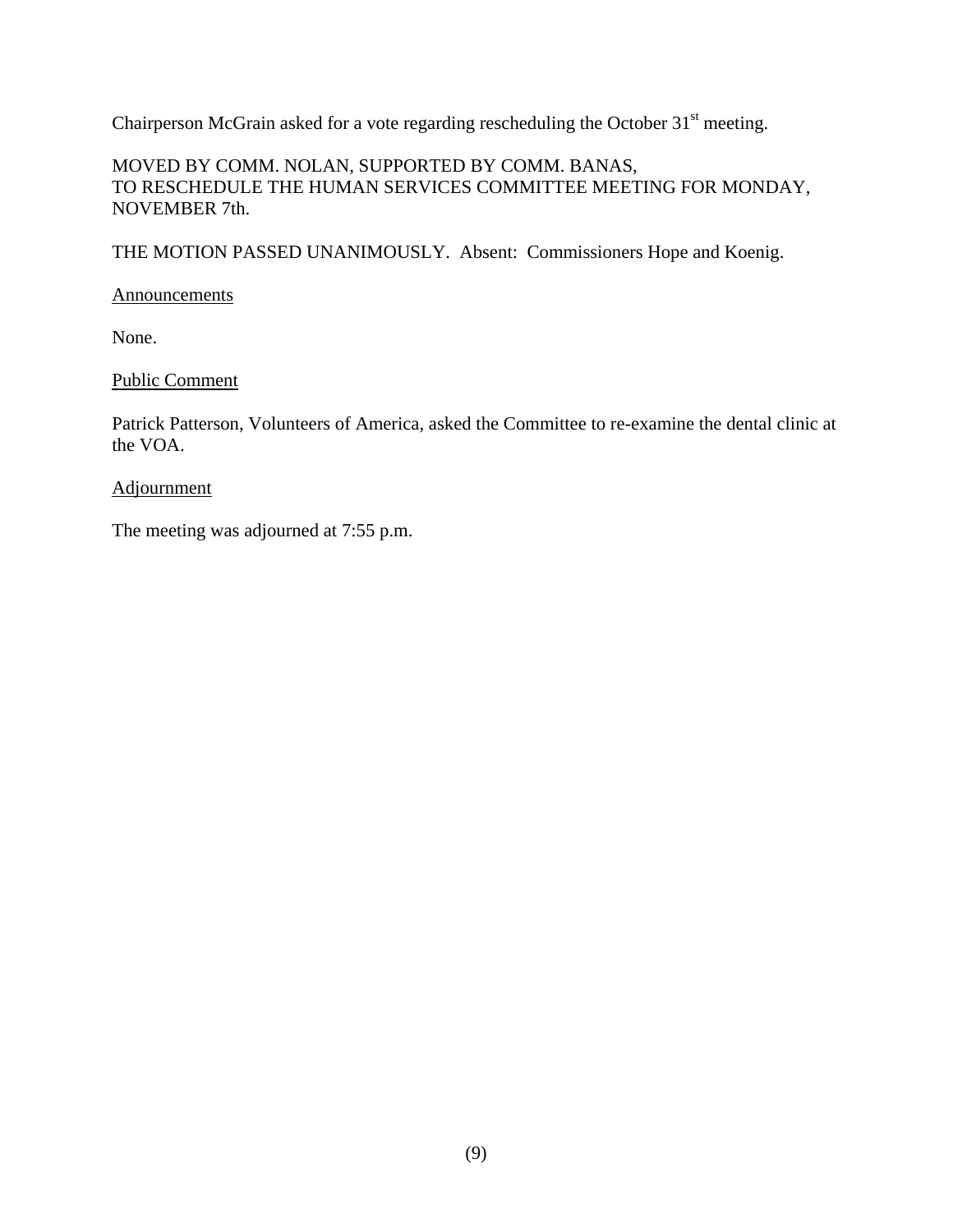Chairperson McGrain asked for a vote regarding rescheduling the October  $31<sup>st</sup>$  meeting.

# MOVED BY COMM. NOLAN, SUPPORTED BY COMM. BANAS, TO RESCHEDULE THE HUMAN SERVICES COMMITTEE MEETING FOR MONDAY, NOVEMBER 7th.

THE MOTION PASSED UNANIMOUSLY. Absent: Commissioners Hope and Koenig.

# **Announcements**

None.

# Public Comment

Patrick Patterson, Volunteers of America, asked the Committee to re-examine the dental clinic at the VOA.

#### **Adjournment**

The meeting was adjourned at 7:55 p.m.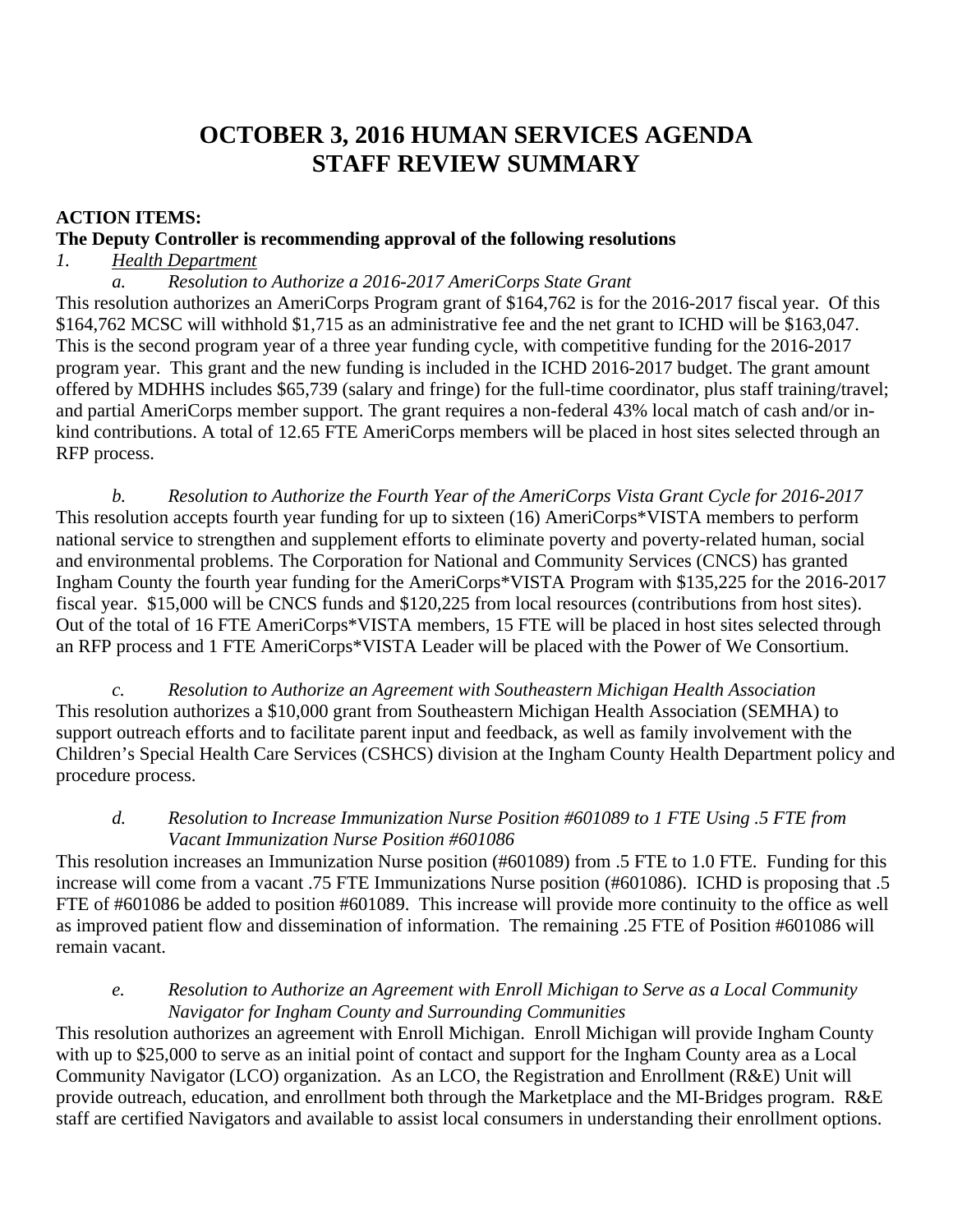# **OCTOBER 3, 2016 HUMAN SERVICES AGENDA STAFF REVIEW SUMMARY**

#### **ACTION ITEMS:**

#### **The Deputy Controller is recommending approval of the following resolutions**

## *1. Health Department*

*a. Resolution to Authorize a 2016-2017 AmeriCorps State Grant*  This resolution authorizes an AmeriCorps Program grant of \$164,762 is for the 2016-2017 fiscal year. Of this \$164,762 MCSC will withhold \$1,715 as an administrative fee and the net grant to ICHD will be \$163,047. This is the second program year of a three year funding cycle, with competitive funding for the 2016-2017 program year. This grant and the new funding is included in the ICHD 2016-2017 budget. The grant amount offered by MDHHS includes \$65,739 (salary and fringe) for the full-time coordinator, plus staff training/travel; and partial AmeriCorps member support. The grant requires a non-federal 43% local match of cash and/or inkind contributions. A total of 12.65 FTE AmeriCorps members will be placed in host sites selected through an RFP process.

*b. Resolution to Authorize the Fourth Year of the AmeriCorps Vista Grant Cycle for 2016-2017*  This resolution accepts fourth year funding for up to sixteen (16) AmeriCorps\*VISTA members to perform national service to strengthen and supplement efforts to eliminate poverty and poverty-related human, social and environmental problems. The Corporation for National and Community Services (CNCS) has granted Ingham County the fourth year funding for the AmeriCorps\*VISTA Program with \$135,225 for the 2016-2017 fiscal year. \$15,000 will be CNCS funds and \$120,225 from local resources (contributions from host sites). Out of the total of 16 FTE AmeriCorps\*VISTA members, 15 FTE will be placed in host sites selected through an RFP process and 1 FTE AmeriCorps\*VISTA Leader will be placed with the Power of We Consortium.

*c. Resolution to Authorize an Agreement with Southeastern Michigan Health Association*  This resolution authorizes a \$10,000 grant from Southeastern Michigan Health Association (SEMHA) to support outreach efforts and to facilitate parent input and feedback, as well as family involvement with the Children's Special Health Care Services (CSHCS) division at the Ingham County Health Department policy and procedure process.

#### *d. Resolution to Increase Immunization Nurse Position #601089 to 1 FTE Using .5 FTE from Vacant Immunization Nurse Position #601086*

This resolution increases an Immunization Nurse position (#601089) from .5 FTE to 1.0 FTE. Funding for this increase will come from a vacant .75 FTE Immunizations Nurse position (#601086). ICHD is proposing that .5 FTE of #601086 be added to position #601089. This increase will provide more continuity to the office as well as improved patient flow and dissemination of information. The remaining .25 FTE of Position #601086 will remain vacant.

#### *e. Resolution to Authorize an Agreement with Enroll Michigan to Serve as a Local Community Navigator for Ingham County and Surrounding Communities*

This resolution authorizes an agreement with Enroll Michigan. Enroll Michigan will provide Ingham County with up to \$25,000 to serve as an initial point of contact and support for the Ingham County area as a Local Community Navigator (LCO) organization. As an LCO, the Registration and Enrollment (R&E) Unit will provide outreach, education, and enrollment both through the Marketplace and the MI-Bridges program. R&E staff are certified Navigators and available to assist local consumers in understanding their enrollment options.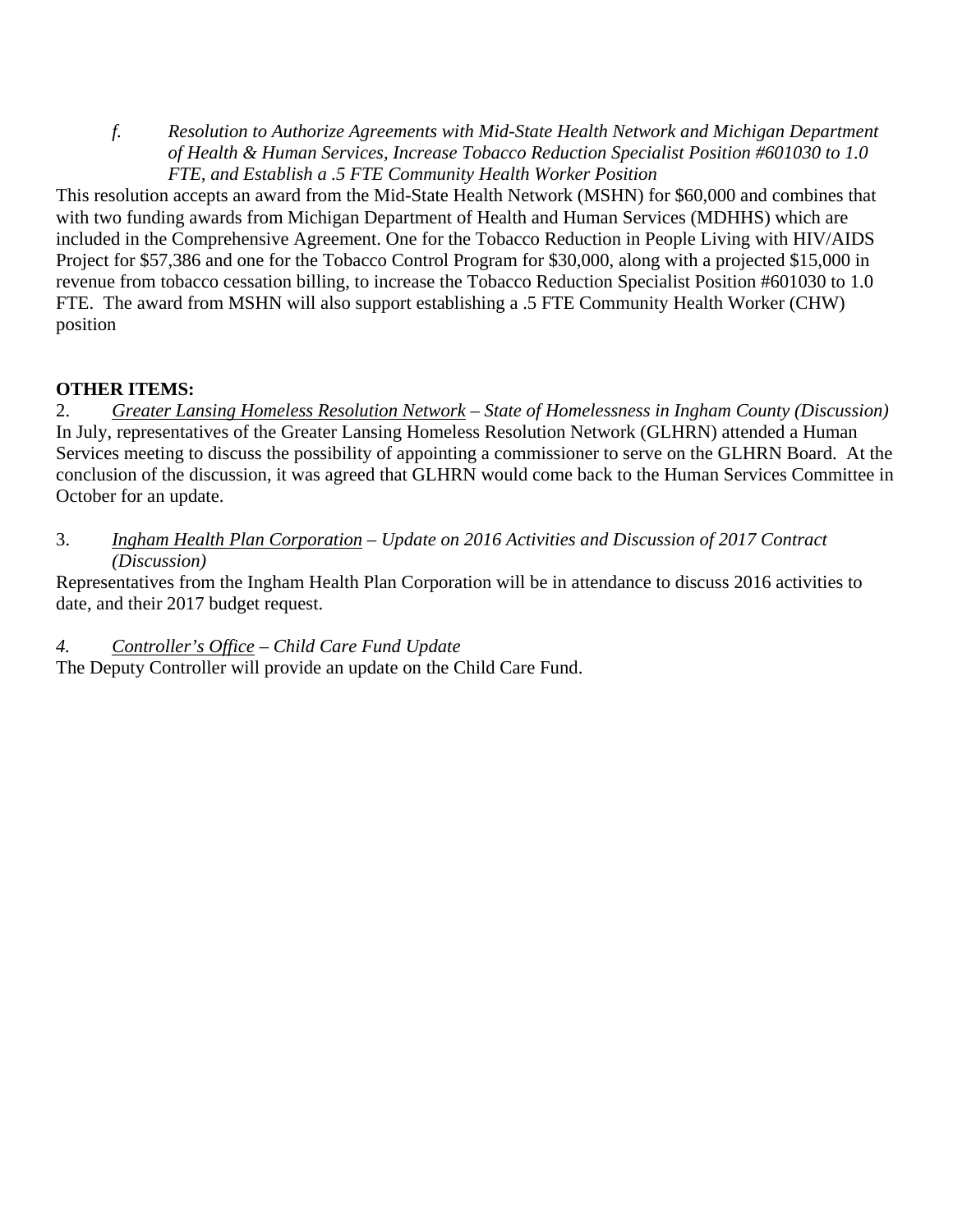*f. Resolution to Authorize Agreements with Mid-State Health Network and Michigan Department of Health & Human Services, Increase Tobacco Reduction Specialist Position #601030 to 1.0 FTE, and Establish a .5 FTE Community Health Worker Position* 

This resolution accepts an award from the Mid-State Health Network (MSHN) for \$60,000 and combines that with two funding awards from Michigan Department of Health and Human Services (MDHHS) which are included in the Comprehensive Agreement. One for the Tobacco Reduction in People Living with HIV/AIDS Project for \$57,386 and one for the Tobacco Control Program for \$30,000, along with a projected \$15,000 in revenue from tobacco cessation billing, to increase the Tobacco Reduction Specialist Position #601030 to 1.0 FTE. The award from MSHN will also support establishing a .5 FTE Community Health Worker (CHW) position

# **OTHER ITEMS:**

2. *Greater Lansing Homeless Resolution Network – State of Homelessness in Ingham County (Discussion)* In July, representatives of the Greater Lansing Homeless Resolution Network (GLHRN) attended a Human Services meeting to discuss the possibility of appointing a commissioner to serve on the GLHRN Board. At the conclusion of the discussion, it was agreed that GLHRN would come back to the Human Services Committee in October for an update.

3. *Ingham Health Plan Corporation – Update on 2016 Activities and Discussion of 2017 Contract (Discussion)*

Representatives from the Ingham Health Plan Corporation will be in attendance to discuss 2016 activities to date, and their 2017 budget request.

## *4. Controller's Office – Child Care Fund Update*

The Deputy Controller will provide an update on the Child Care Fund.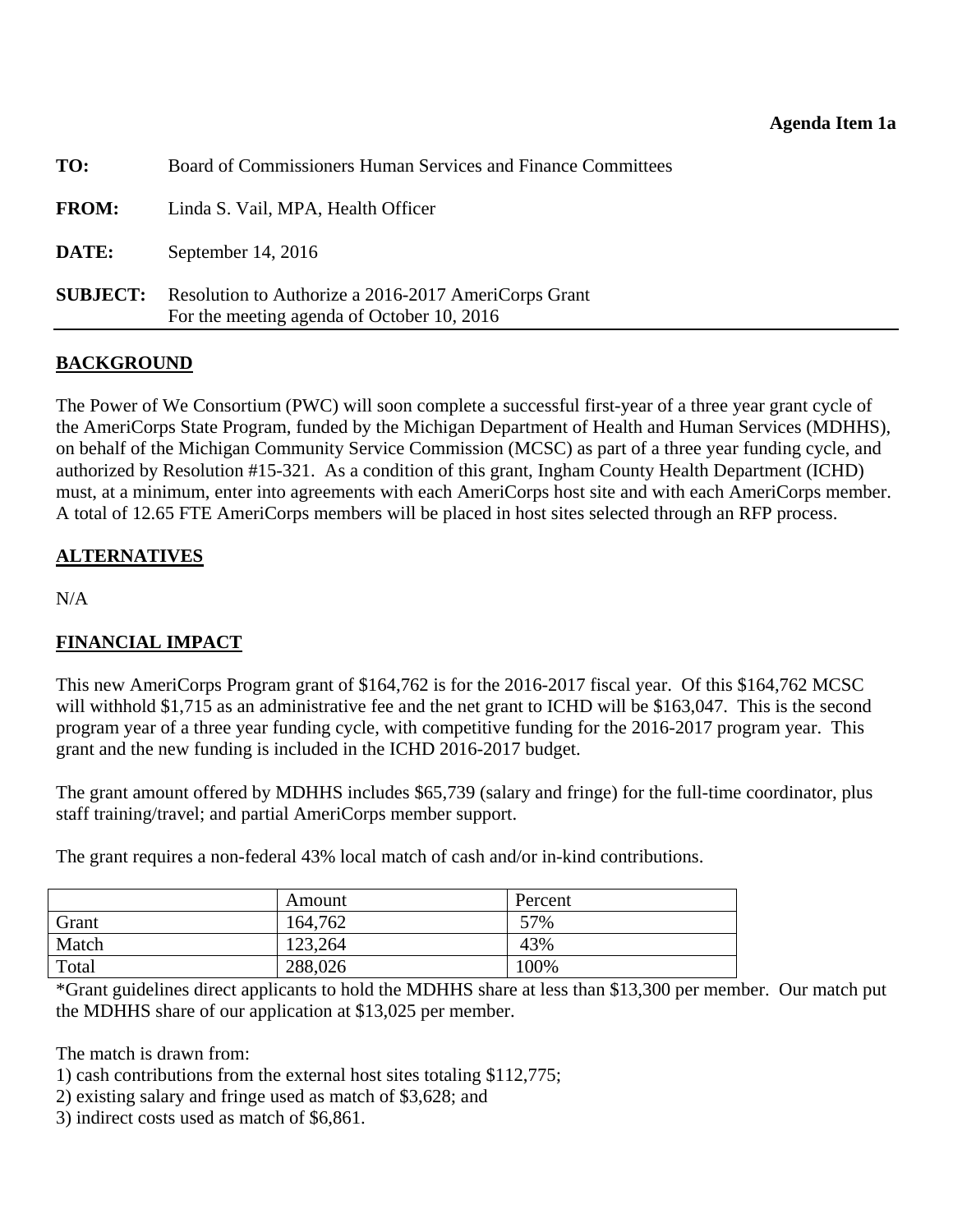<span id="page-12-0"></span>

| TO:             | Board of Commissioners Human Services and Finance Committees                                       |
|-----------------|----------------------------------------------------------------------------------------------------|
| <b>FROM:</b>    | Linda S. Vail, MPA, Health Officer                                                                 |
| DATE:           | September 14, 2016                                                                                 |
| <b>SUBJECT:</b> | Resolution to Authorize a 2016-2017 AmeriCorps Grant<br>For the meeting agenda of October 10, 2016 |

The Power of We Consortium (PWC) will soon complete a successful first-year of a three year grant cycle of the AmeriCorps State Program, funded by the Michigan Department of Health and Human Services (MDHHS), on behalf of the Michigan Community Service Commission (MCSC) as part of a three year funding cycle, and authorized by Resolution #15-321. As a condition of this grant, Ingham County Health Department (ICHD) must, at a minimum, enter into agreements with each AmeriCorps host site and with each AmeriCorps member. A total of 12.65 FTE AmeriCorps members will be placed in host sites selected through an RFP process.

## **ALTERNATIVES**

N/A

# **FINANCIAL IMPACT**

This new AmeriCorps Program grant of \$164,762 is for the 2016-2017 fiscal year. Of this \$164,762 MCSC will withhold \$1,715 as an administrative fee and the net grant to ICHD will be \$163,047. This is the second program year of a three year funding cycle, with competitive funding for the 2016-2017 program year. This grant and the new funding is included in the ICHD 2016-2017 budget.

The grant amount offered by MDHHS includes \$65,739 (salary and fringe) for the full-time coordinator, plus staff training/travel; and partial AmeriCorps member support.

The grant requires a non-federal 43% local match of cash and/or in-kind contributions.

|       | Amount  | Percent |
|-------|---------|---------|
| Grant | 164,762 | 57%     |
| Match | 123,264 | 43%     |
| Total | 288,026 | 100%    |

\*Grant guidelines direct applicants to hold the MDHHS share at less than \$13,300 per member. Our match put the MDHHS share of our application at \$13,025 per member.

The match is drawn from:

- 1) cash contributions from the external host sites totaling \$112,775;
- 2) existing salary and fringe used as match of \$3,628; and
- 3) indirect costs used as match of \$6,861.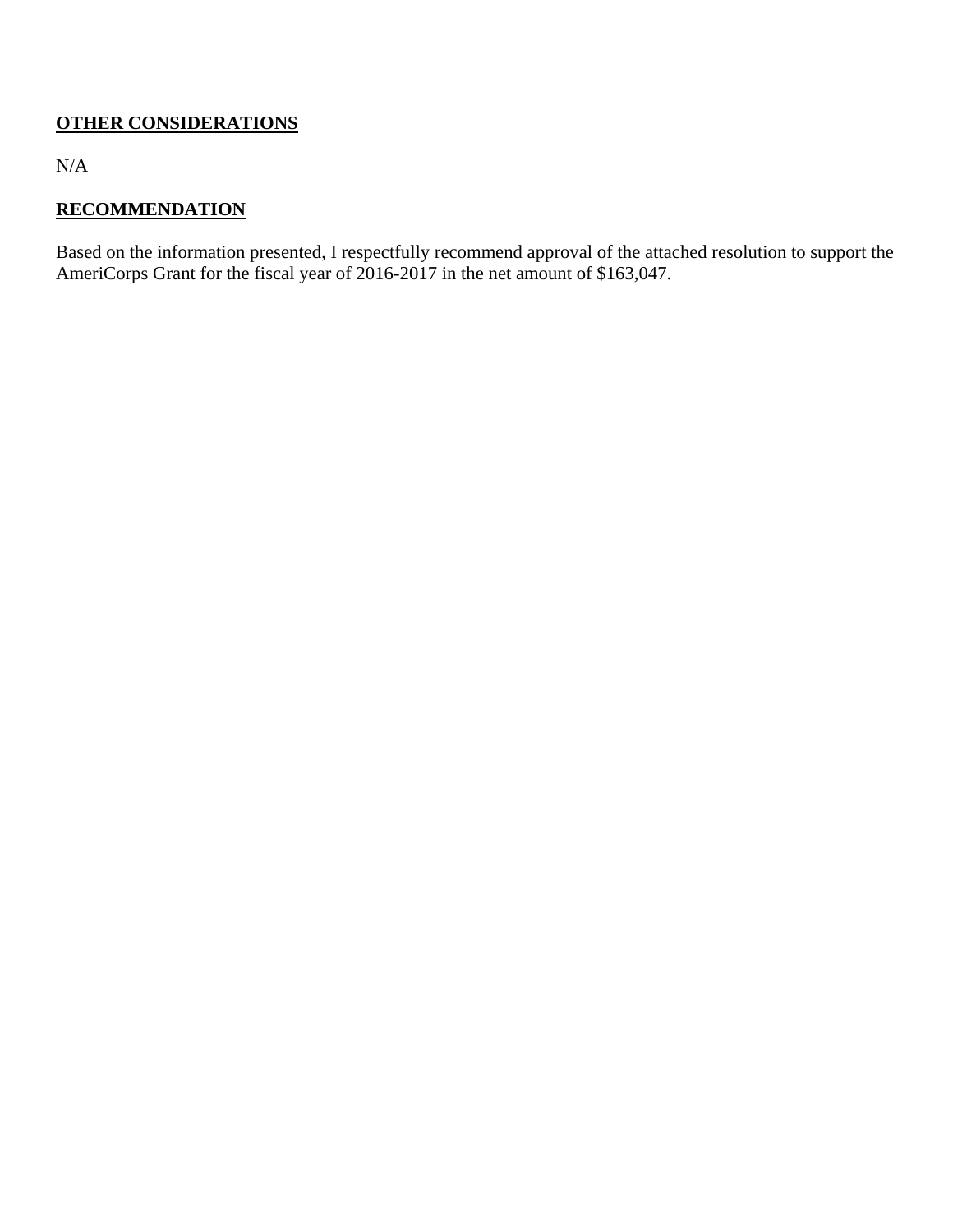# **OTHER CONSIDERATIONS**

N/A

# **RECOMMENDATION**

Based on the information presented, I respectfully recommend approval of the attached resolution to support the AmeriCorps Grant for the fiscal year of 2016-2017 in the net amount of \$163,047.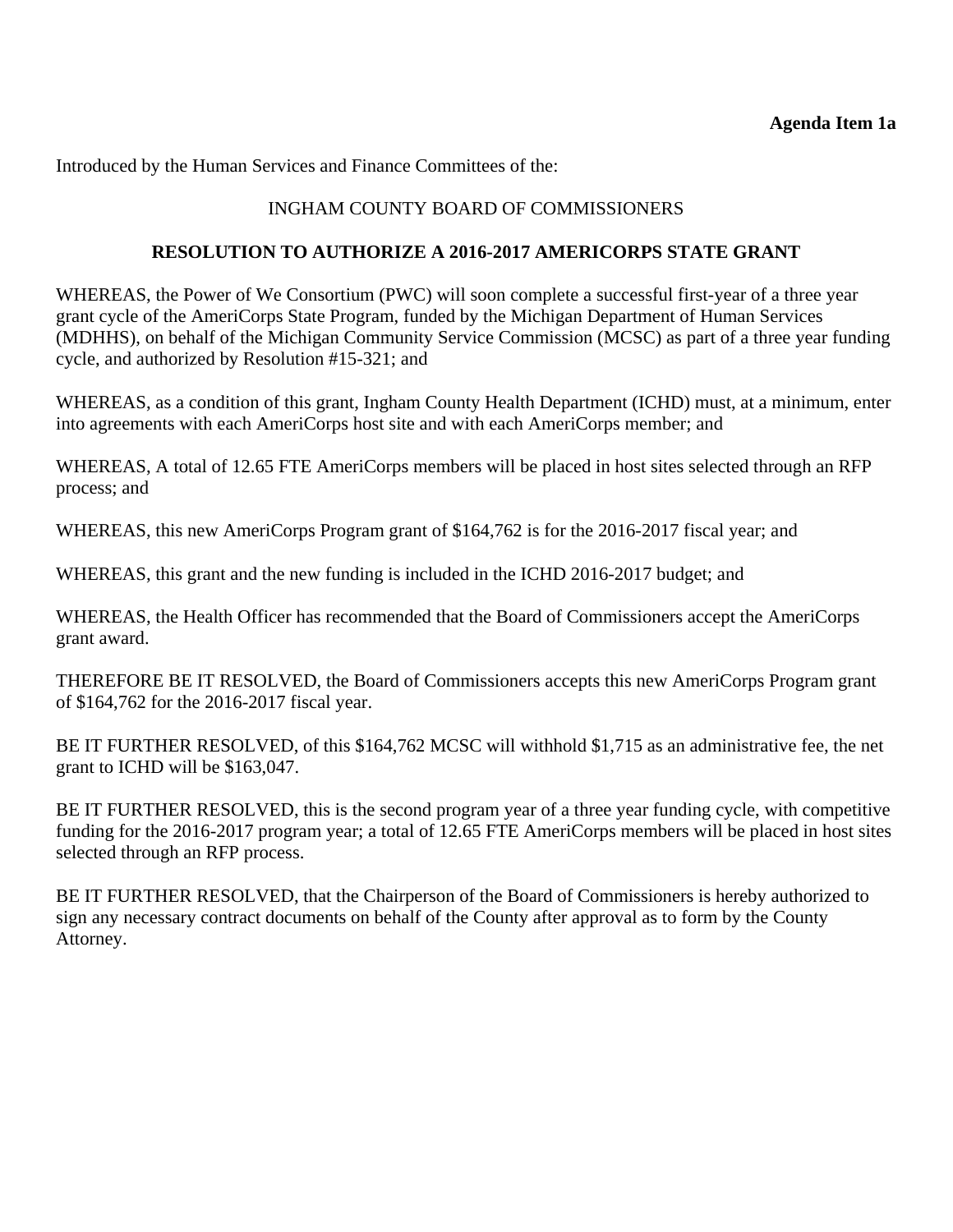Introduced by the Human Services and Finance Committees of the:

## INGHAM COUNTY BOARD OF COMMISSIONERS

#### **RESOLUTION TO AUTHORIZE A 2016-2017 AMERICORPS STATE GRANT**

WHEREAS, the Power of We Consortium (PWC) will soon complete a successful first-year of a three year grant cycle of the AmeriCorps State Program, funded by the Michigan Department of Human Services (MDHHS), on behalf of the Michigan Community Service Commission (MCSC) as part of a three year funding cycle, and authorized by Resolution #15-321; and

WHEREAS, as a condition of this grant, Ingham County Health Department (ICHD) must, at a minimum, enter into agreements with each AmeriCorps host site and with each AmeriCorps member; and

WHEREAS, A total of 12.65 FTE AmeriCorps members will be placed in host sites selected through an RFP process; and

WHEREAS, this new AmeriCorps Program grant of \$164,762 is for the 2016-2017 fiscal year; and

WHEREAS, this grant and the new funding is included in the ICHD 2016-2017 budget; and

WHEREAS, the Health Officer has recommended that the Board of Commissioners accept the AmeriCorps grant award.

THEREFORE BE IT RESOLVED, the Board of Commissioners accepts this new AmeriCorps Program grant of \$164,762 for the 2016-2017 fiscal year.

BE IT FURTHER RESOLVED, of this \$164,762 MCSC will withhold \$1,715 as an administrative fee, the net grant to ICHD will be \$163,047.

BE IT FURTHER RESOLVED, this is the second program year of a three year funding cycle, with competitive funding for the 2016-2017 program year; a total of 12.65 FTE AmeriCorps members will be placed in host sites selected through an RFP process.

BE IT FURTHER RESOLVED, that the Chairperson of the Board of Commissioners is hereby authorized to sign any necessary contract documents on behalf of the County after approval as to form by the County Attorney.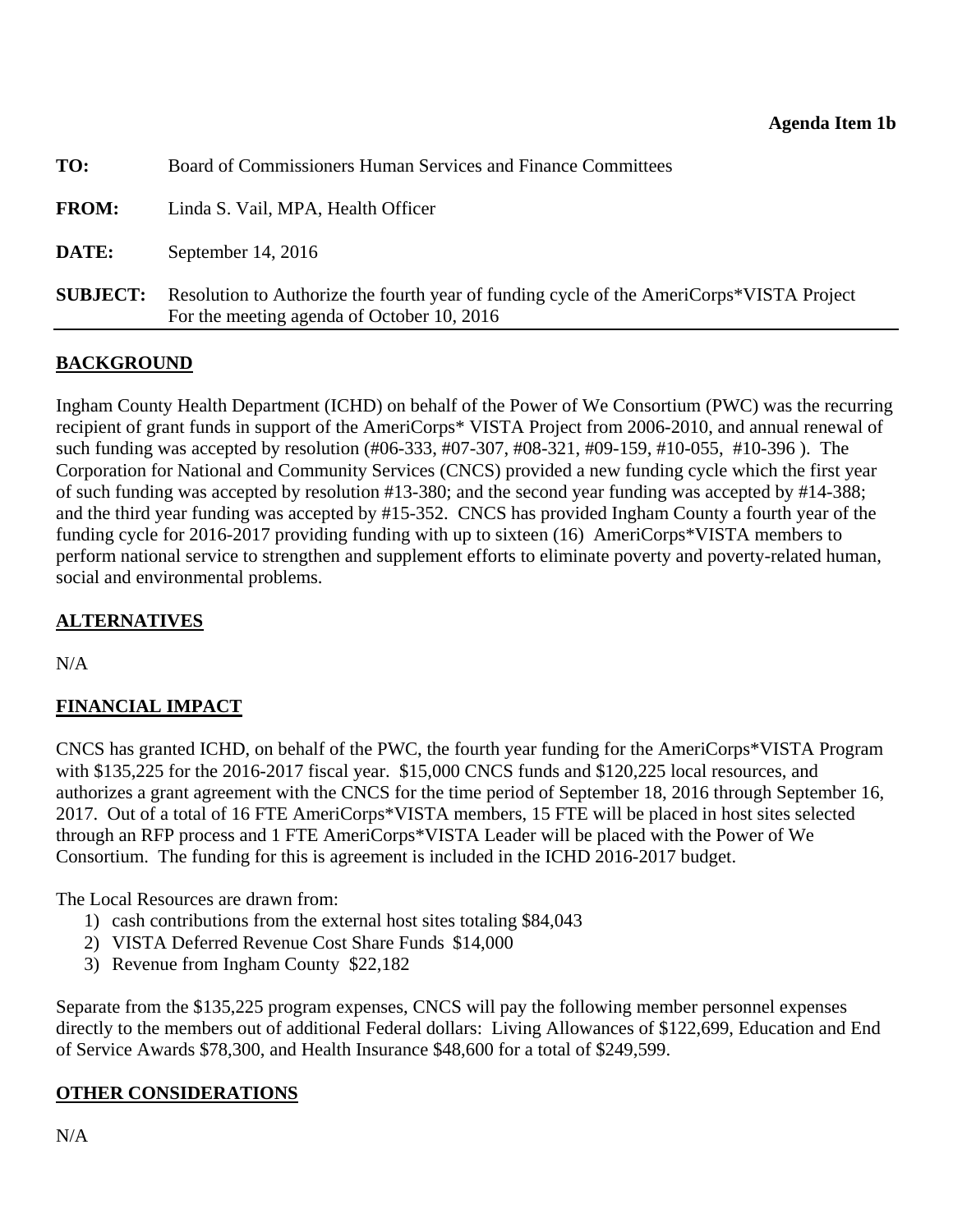<span id="page-15-0"></span>

| TO:             | Board of Commissioners Human Services and Finance Committees                                                                           |
|-----------------|----------------------------------------------------------------------------------------------------------------------------------------|
| <b>FROM:</b>    | Linda S. Vail, MPA, Health Officer                                                                                                     |
| DATE:           | September $14, 2016$                                                                                                                   |
| <b>SUBJECT:</b> | Resolution to Authorize the fourth year of funding cycle of the AmeriCorps*VISTA Project<br>For the meeting agenda of October 10, 2016 |

Ingham County Health Department (ICHD) on behalf of the Power of We Consortium (PWC) was the recurring recipient of grant funds in support of the AmeriCorps\* VISTA Project from 2006-2010, and annual renewal of such funding was accepted by resolution (#06-333, #07-307, #08-321, #09-159, #10-055, #10-396 ). The Corporation for National and Community Services (CNCS) provided a new funding cycle which the first year of such funding was accepted by resolution #13-380; and the second year funding was accepted by #14-388; and the third year funding was accepted by #15-352. CNCS has provided Ingham County a fourth year of the funding cycle for 2016-2017 providing funding with up to sixteen (16) AmeriCorps\*VISTA members to perform national service to strengthen and supplement efforts to eliminate poverty and poverty-related human, social and environmental problems.

# **ALTERNATIVES**

N/A

# **FINANCIAL IMPACT**

CNCS has granted ICHD, on behalf of the PWC, the fourth year funding for the AmeriCorps\*VISTA Program with \$135,225 for the 2016-2017 fiscal year. \$15,000 CNCS funds and \$120,225 local resources, and authorizes a grant agreement with the CNCS for the time period of September 18, 2016 through September 16, 2017. Out of a total of 16 FTE AmeriCorps\*VISTA members, 15 FTE will be placed in host sites selected through an RFP process and 1 FTE AmeriCorps\*VISTA Leader will be placed with the Power of We Consortium. The funding for this is agreement is included in the ICHD 2016-2017 budget.

The Local Resources are drawn from:

- 1) cash contributions from the external host sites totaling \$84,043
- 2) VISTA Deferred Revenue Cost Share Funds \$14,000
- 3) Revenue from Ingham County \$22,182

Separate from the \$135,225 program expenses, CNCS will pay the following member personnel expenses directly to the members out of additional Federal dollars: Living Allowances of \$122,699, Education and End of Service Awards \$78,300, and Health Insurance \$48,600 for a total of \$249,599.

# **OTHER CONSIDERATIONS**

N/A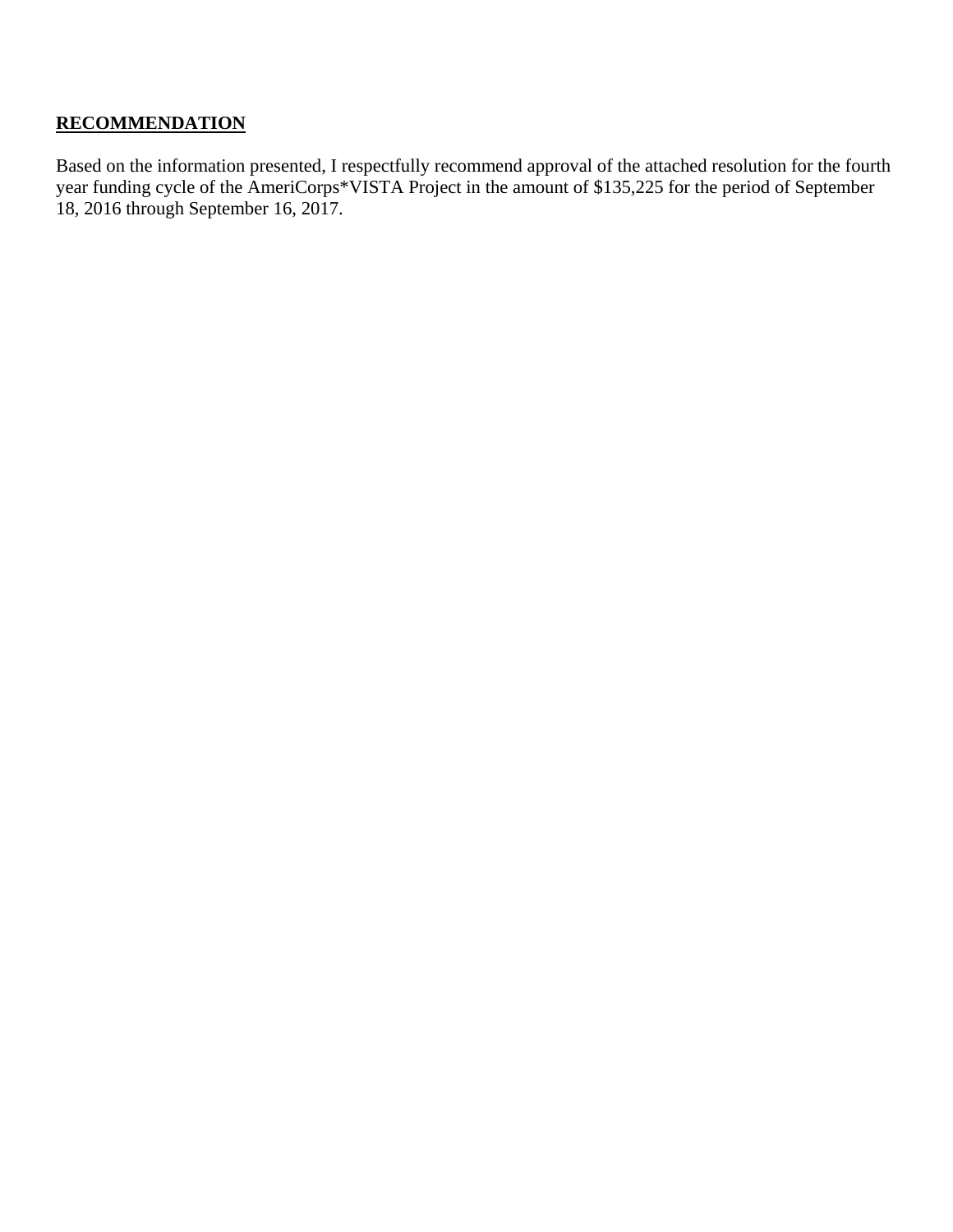# **RECOMMENDATION**

Based on the information presented, I respectfully recommend approval of the attached resolution for the fourth year funding cycle of the AmeriCorps\*VISTA Project in the amount of \$135,225 for the period of September 18, 2016 through September 16, 2017.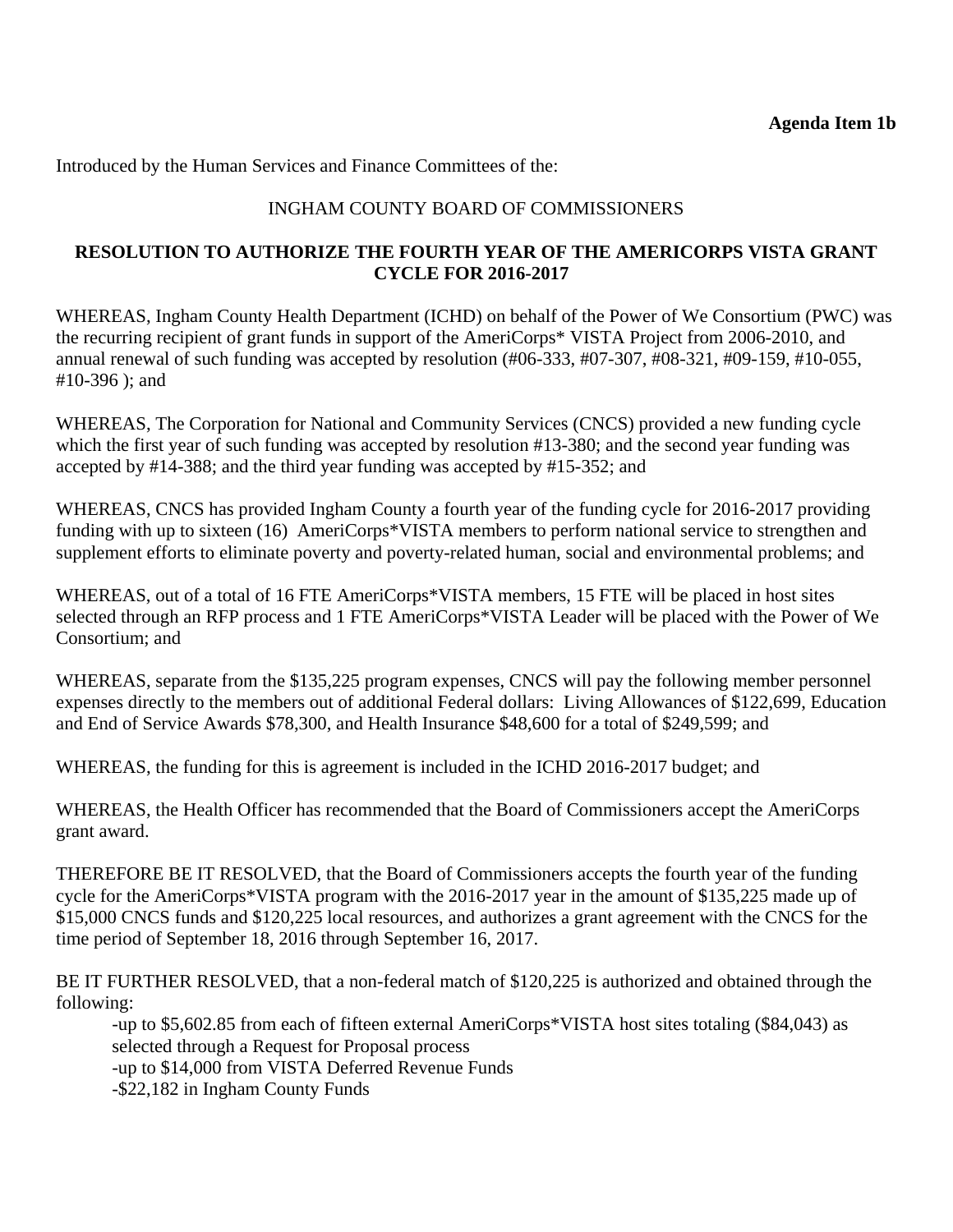Introduced by the Human Services and Finance Committees of the:

# INGHAM COUNTY BOARD OF COMMISSIONERS

## **RESOLUTION TO AUTHORIZE THE FOURTH YEAR OF THE AMERICORPS VISTA GRANT CYCLE FOR 2016-2017**

WHEREAS, Ingham County Health Department (ICHD) on behalf of the Power of We Consortium (PWC) was the recurring recipient of grant funds in support of the AmeriCorps\* VISTA Project from 2006-2010, and annual renewal of such funding was accepted by resolution (#06-333, #07-307, #08-321, #09-159, #10-055, #10-396 ); and

WHEREAS, The Corporation for National and Community Services (CNCS) provided a new funding cycle which the first year of such funding was accepted by resolution #13-380; and the second year funding was accepted by #14-388; and the third year funding was accepted by #15-352; and

WHEREAS, CNCS has provided Ingham County a fourth year of the funding cycle for 2016-2017 providing funding with up to sixteen (16) AmeriCorps\*VISTA members to perform national service to strengthen and supplement efforts to eliminate poverty and poverty-related human, social and environmental problems; and

WHEREAS, out of a total of 16 FTE AmeriCorps\*VISTA members, 15 FTE will be placed in host sites selected through an RFP process and 1 FTE AmeriCorps\*VISTA Leader will be placed with the Power of We Consortium; and

WHEREAS, separate from the \$135,225 program expenses, CNCS will pay the following member personnel expenses directly to the members out of additional Federal dollars: Living Allowances of \$122,699, Education and End of Service Awards \$78,300, and Health Insurance \$48,600 for a total of \$249,599; and

WHEREAS, the funding for this is agreement is included in the ICHD 2016-2017 budget; and

WHEREAS, the Health Officer has recommended that the Board of Commissioners accept the AmeriCorps grant award.

THEREFORE BE IT RESOLVED, that the Board of Commissioners accepts the fourth year of the funding cycle for the AmeriCorps\*VISTA program with the 2016-2017 year in the amount of \$135,225 made up of \$15,000 CNCS funds and \$120,225 local resources, and authorizes a grant agreement with the CNCS for the time period of September 18, 2016 through September 16, 2017.

BE IT FURTHER RESOLVED, that a non-federal match of \$120,225 is authorized and obtained through the following:

-up to \$5,602.85 from each of fifteen external AmeriCorps\*VISTA host sites totaling (\$84,043) as selected through a Request for Proposal process

-up to \$14,000 from VISTA Deferred Revenue Funds

-\$22,182 in Ingham County Funds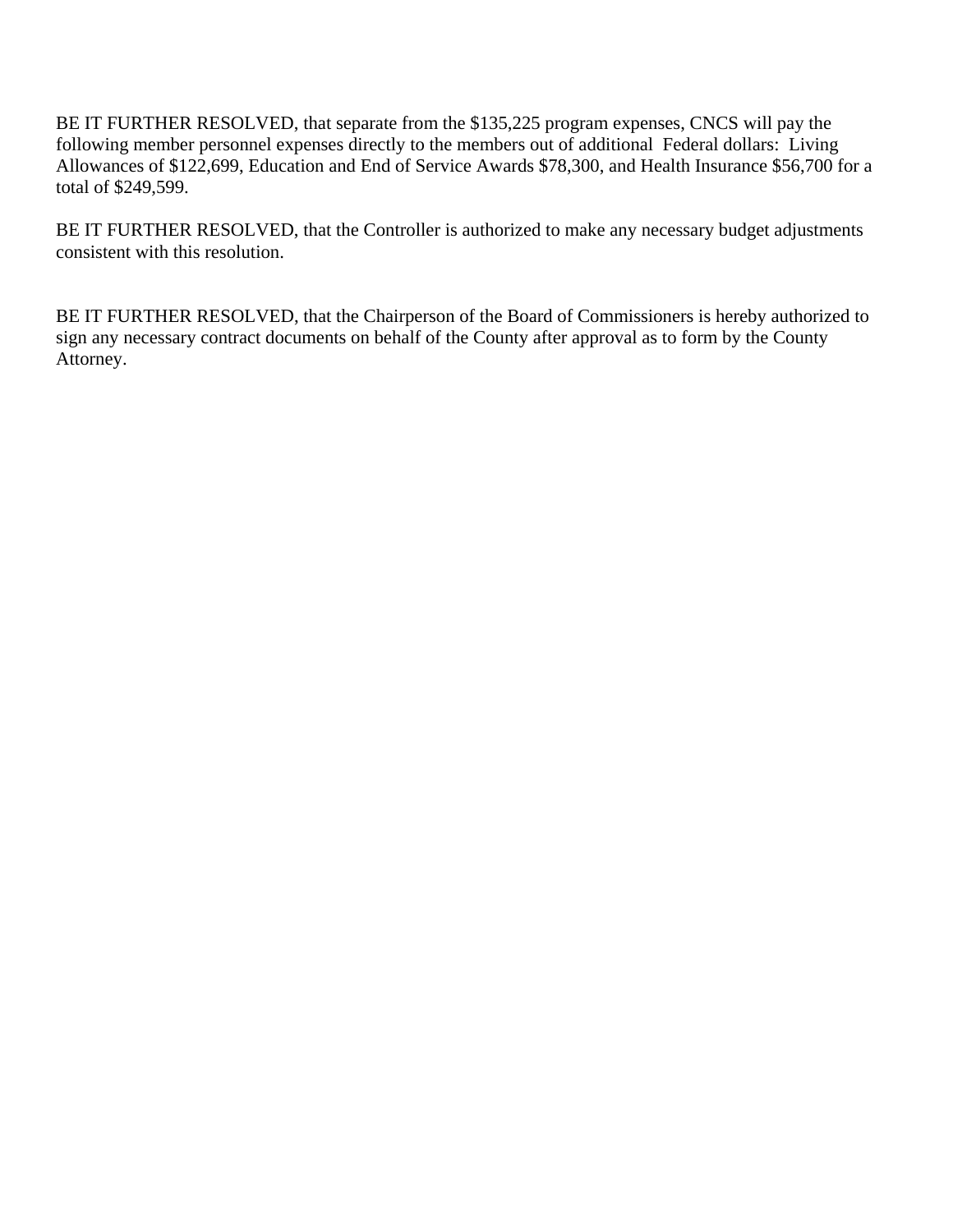BE IT FURTHER RESOLVED, that separate from the \$135,225 program expenses, CNCS will pay the following member personnel expenses directly to the members out of additional Federal dollars: Living Allowances of \$122,699, Education and End of Service Awards \$78,300, and Health Insurance \$56,700 for a total of \$249,599.

BE IT FURTHER RESOLVED, that the Controller is authorized to make any necessary budget adjustments consistent with this resolution.

BE IT FURTHER RESOLVED, that the Chairperson of the Board of Commissioners is hereby authorized to sign any necessary contract documents on behalf of the County after approval as to form by the County Attorney.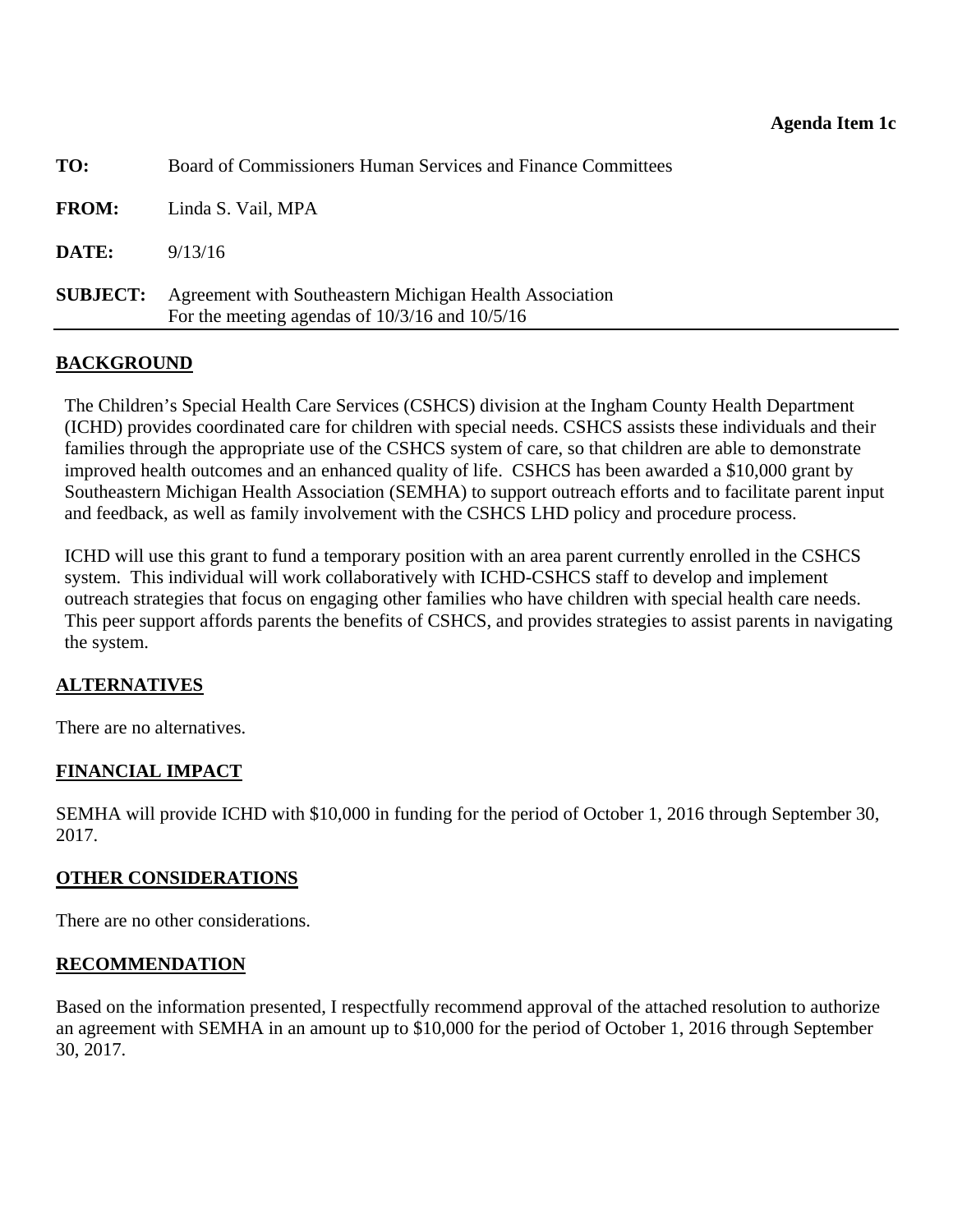<span id="page-19-0"></span>

| TO:             | Board of Commissioners Human Services and Finance Committees                                                  |
|-----------------|---------------------------------------------------------------------------------------------------------------|
| <b>FROM:</b>    | Linda S. Vail, MPA                                                                                            |
| DATE:           | 9/13/16                                                                                                       |
| <b>SUBJECT:</b> | Agreement with Southeastern Michigan Health Association<br>For the meeting agendas of $10/3/16$ and $10/5/16$ |

The Children's Special Health Care Services (CSHCS) division at the Ingham County Health Department (ICHD) provides coordinated care for children with special needs. CSHCS assists these individuals and their families through the appropriate use of the CSHCS system of care, so that children are able to demonstrate improved health outcomes and an enhanced quality of life. CSHCS has been awarded a \$10,000 grant by Southeastern Michigan Health Association (SEMHA) to support outreach efforts and to facilitate parent input and feedback, as well as family involvement with the CSHCS LHD policy and procedure process.

ICHD will use this grant to fund a temporary position with an area parent currently enrolled in the CSHCS system. This individual will work collaboratively with ICHD-CSHCS staff to develop and implement outreach strategies that focus on engaging other families who have children with special health care needs. This peer support affords parents the benefits of CSHCS, and provides strategies to assist parents in navigating the system.

#### **ALTERNATIVES**

There are no alternatives.

## **FINANCIAL IMPACT**

SEMHA will provide ICHD with \$10,000 in funding for the period of October 1, 2016 through September 30, 2017.

#### **OTHER CONSIDERATIONS**

There are no other considerations.

#### **RECOMMENDATION**

Based on the information presented, I respectfully recommend approval of the attached resolution to authorize an agreement with SEMHA in an amount up to \$10,000 for the period of October 1, 2016 through September 30, 2017.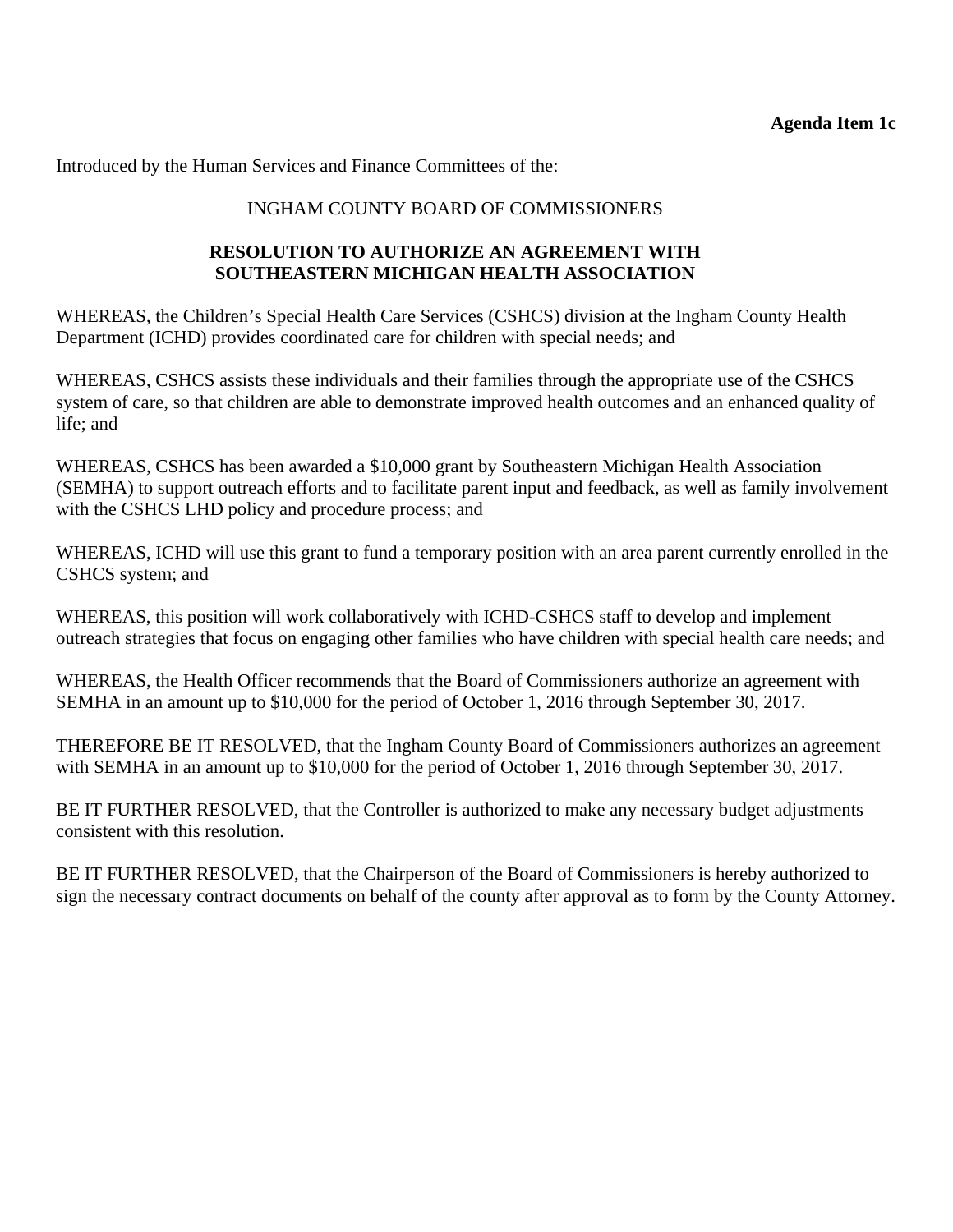Introduced by the Human Services and Finance Committees of the:

## INGHAM COUNTY BOARD OF COMMISSIONERS

## **RESOLUTION TO AUTHORIZE AN AGREEMENT WITH SOUTHEASTERN MICHIGAN HEALTH ASSOCIATION**

WHEREAS, the Children's Special Health Care Services (CSHCS) division at the Ingham County Health Department (ICHD) provides coordinated care for children with special needs; and

WHEREAS, CSHCS assists these individuals and their families through the appropriate use of the CSHCS system of care, so that children are able to demonstrate improved health outcomes and an enhanced quality of life; and

WHEREAS, CSHCS has been awarded a \$10,000 grant by Southeastern Michigan Health Association (SEMHA) to support outreach efforts and to facilitate parent input and feedback, as well as family involvement with the CSHCS LHD policy and procedure process; and

WHEREAS, ICHD will use this grant to fund a temporary position with an area parent currently enrolled in the CSHCS system; and

WHEREAS, this position will work collaboratively with ICHD-CSHCS staff to develop and implement outreach strategies that focus on engaging other families who have children with special health care needs; and

WHEREAS, the Health Officer recommends that the Board of Commissioners authorize an agreement with SEMHA in an amount up to \$10,000 for the period of October 1, 2016 through September 30, 2017.

THEREFORE BE IT RESOLVED, that the Ingham County Board of Commissioners authorizes an agreement with SEMHA in an amount up to \$10,000 for the period of October 1, 2016 through September 30, 2017.

BE IT FURTHER RESOLVED, that the Controller is authorized to make any necessary budget adjustments consistent with this resolution.

BE IT FURTHER RESOLVED, that the Chairperson of the Board of Commissioners is hereby authorized to sign the necessary contract documents on behalf of the county after approval as to form by the County Attorney.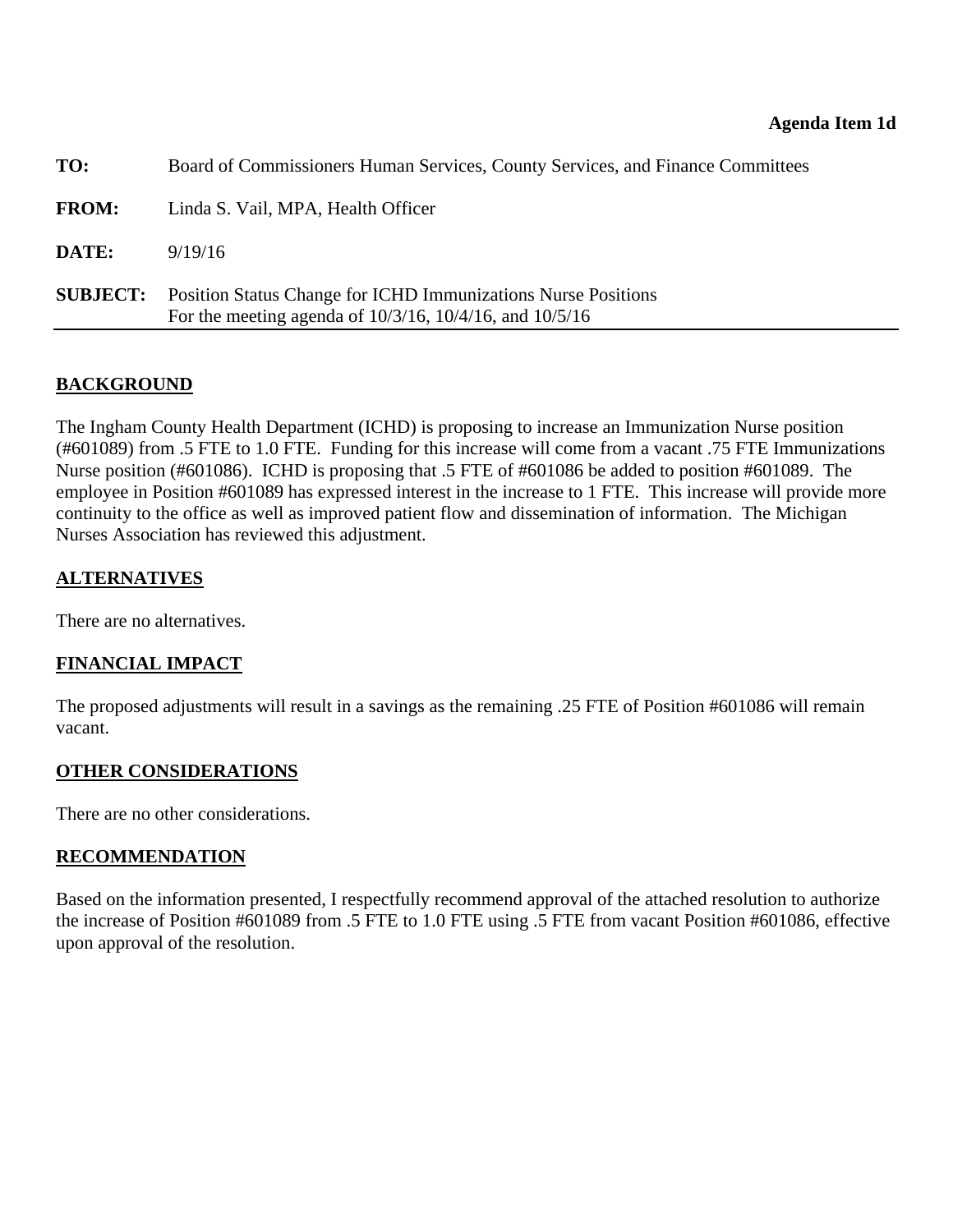<span id="page-21-0"></span>

| TO:             | Board of Commissioners Human Services, County Services, and Finance Committees                                                          |
|-----------------|-----------------------------------------------------------------------------------------------------------------------------------------|
| <b>FROM:</b>    | Linda S. Vail, MPA, Health Officer                                                                                                      |
| DATE:           | 9/19/16                                                                                                                                 |
| <b>SUBJECT:</b> | <b>Position Status Change for ICHD Immunizations Nurse Positions</b><br>For the meeting agenda of $10/3/16$ , $10/4/16$ , and $10/5/16$ |

The Ingham County Health Department (ICHD) is proposing to increase an Immunization Nurse position (#601089) from .5 FTE to 1.0 FTE. Funding for this increase will come from a vacant .75 FTE Immunizations Nurse position (#601086). ICHD is proposing that .5 FTE of #601086 be added to position #601089. The employee in Position #601089 has expressed interest in the increase to 1 FTE. This increase will provide more continuity to the office as well as improved patient flow and dissemination of information. The Michigan Nurses Association has reviewed this adjustment.

#### **ALTERNATIVES**

There are no alternatives.

## **FINANCIAL IMPACT**

The proposed adjustments will result in a savings as the remaining .25 FTE of Position #601086 will remain vacant.

#### **OTHER CONSIDERATIONS**

There are no other considerations.

#### **RECOMMENDATION**

Based on the information presented, I respectfully recommend approval of the attached resolution to authorize the increase of Position #601089 from .5 FTE to 1.0 FTE using .5 FTE from vacant Position #601086, effective upon approval of the resolution.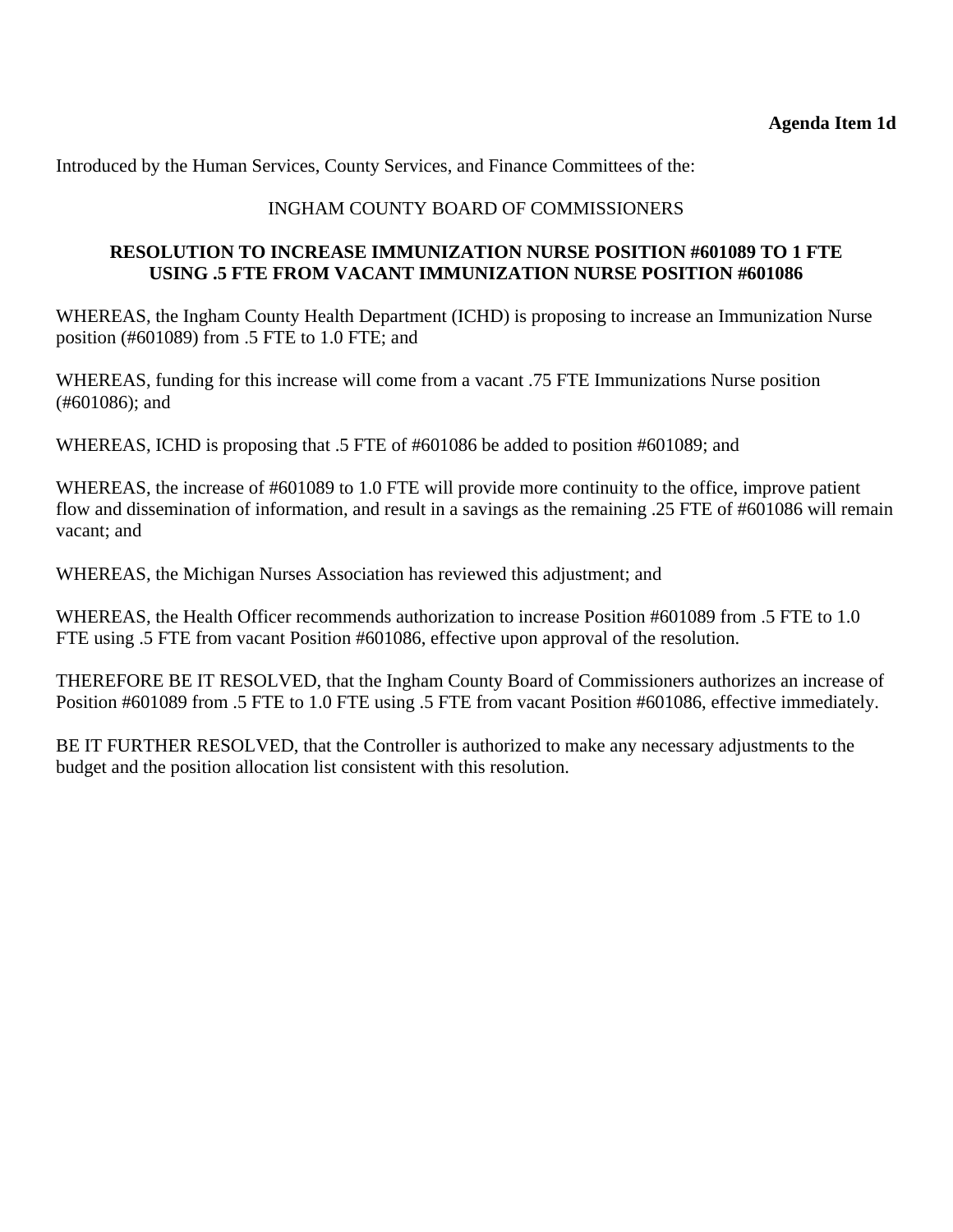Introduced by the Human Services, County Services, and Finance Committees of the:

# INGHAM COUNTY BOARD OF COMMISSIONERS

#### **RESOLUTION TO INCREASE IMMUNIZATION NURSE POSITION #601089 TO 1 FTE USING .5 FTE FROM VACANT IMMUNIZATION NURSE POSITION #601086**

WHEREAS, the Ingham County Health Department (ICHD) is proposing to increase an Immunization Nurse position (#601089) from .5 FTE to 1.0 FTE; and

WHEREAS, funding for this increase will come from a vacant .75 FTE Immunizations Nurse position (#601086); and

WHEREAS, ICHD is proposing that .5 FTE of #601086 be added to position #601089; and

WHEREAS, the increase of #601089 to 1.0 FTE will provide more continuity to the office, improve patient flow and dissemination of information, and result in a savings as the remaining .25 FTE of #601086 will remain vacant; and

WHEREAS, the Michigan Nurses Association has reviewed this adjustment; and

WHEREAS, the Health Officer recommends authorization to increase Position #601089 from .5 FTE to 1.0 FTE using .5 FTE from vacant Position #601086, effective upon approval of the resolution.

THEREFORE BE IT RESOLVED, that the Ingham County Board of Commissioners authorizes an increase of Position #601089 from .5 FTE to 1.0 FTE using .5 FTE from vacant Position #601086, effective immediately.

BE IT FURTHER RESOLVED, that the Controller is authorized to make any necessary adjustments to the budget and the position allocation list consistent with this resolution.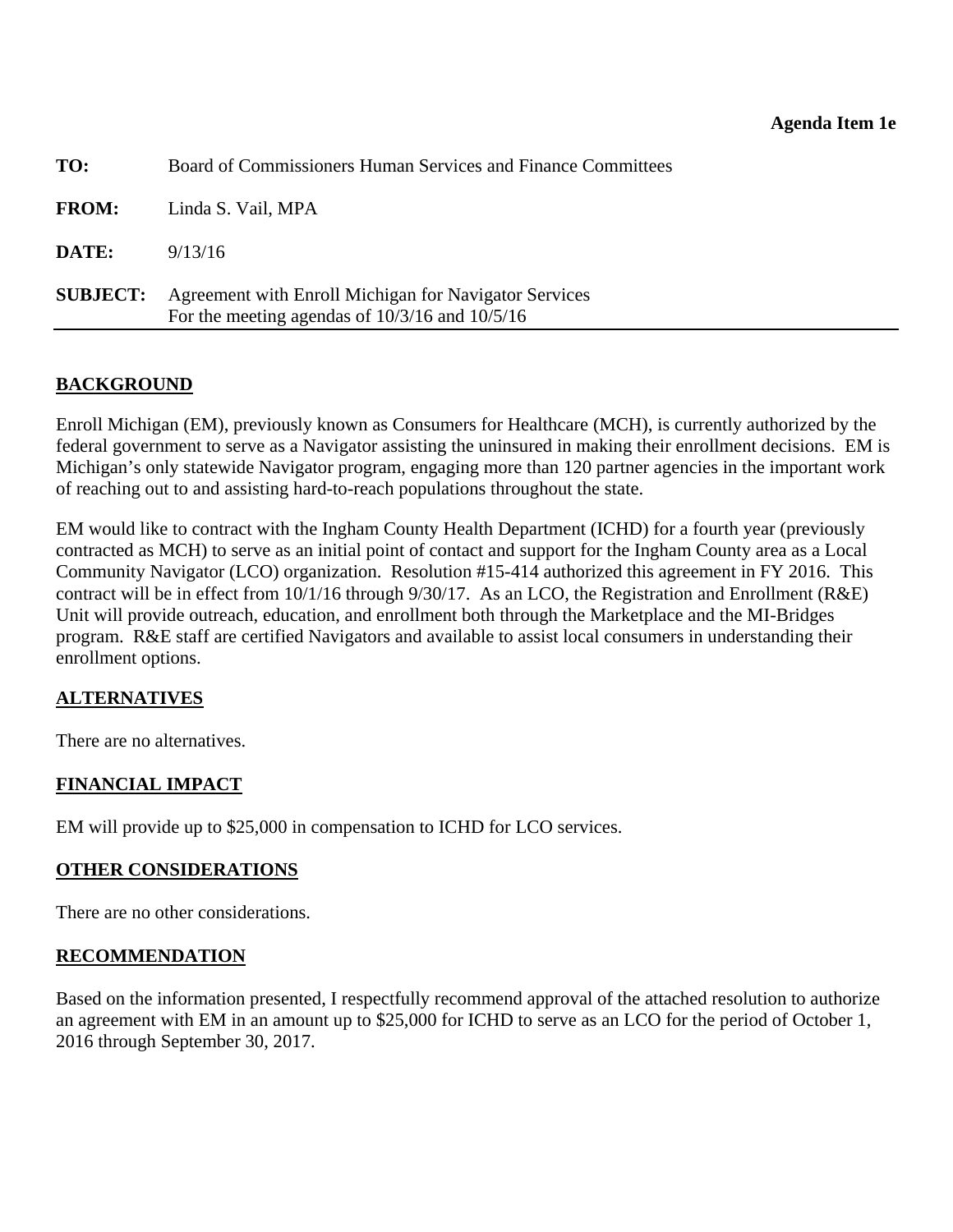<span id="page-23-0"></span>

| TO:             | Board of Commissioners Human Services and Finance Committees                                                |
|-----------------|-------------------------------------------------------------------------------------------------------------|
| <b>FROM:</b>    | Linda S. Vail, MPA                                                                                          |
| DATE:           | 9/13/16                                                                                                     |
| <b>SUBJECT:</b> | Agreement with Enroll Michigan for Navigator Services<br>For the meeting agendas of $10/3/16$ and $10/5/16$ |

Enroll Michigan (EM), previously known as Consumers for Healthcare (MCH), is currently authorized by the federal government to serve as a Navigator assisting the uninsured in making their enrollment decisions. EM is Michigan's only statewide Navigator program, engaging more than 120 partner agencies in the important work of reaching out to and assisting hard-to-reach populations throughout the state.

EM would like to contract with the Ingham County Health Department (ICHD) for a fourth year (previously contracted as MCH) to serve as an initial point of contact and support for the Ingham County area as a Local Community Navigator (LCO) organization. Resolution #15-414 authorized this agreement in FY 2016. This contract will be in effect from 10/1/16 through 9/30/17. As an LCO, the Registration and Enrollment (R&E) Unit will provide outreach, education, and enrollment both through the Marketplace and the MI-Bridges program. R&E staff are certified Navigators and available to assist local consumers in understanding their enrollment options.

## **ALTERNATIVES**

There are no alternatives.

## **FINANCIAL IMPACT**

EM will provide up to \$25,000 in compensation to ICHD for LCO services.

#### **OTHER CONSIDERATIONS**

There are no other considerations.

#### **RECOMMENDATION**

Based on the information presented, I respectfully recommend approval of the attached resolution to authorize an agreement with EM in an amount up to \$25,000 for ICHD to serve as an LCO for the period of October 1, 2016 through September 30, 2017.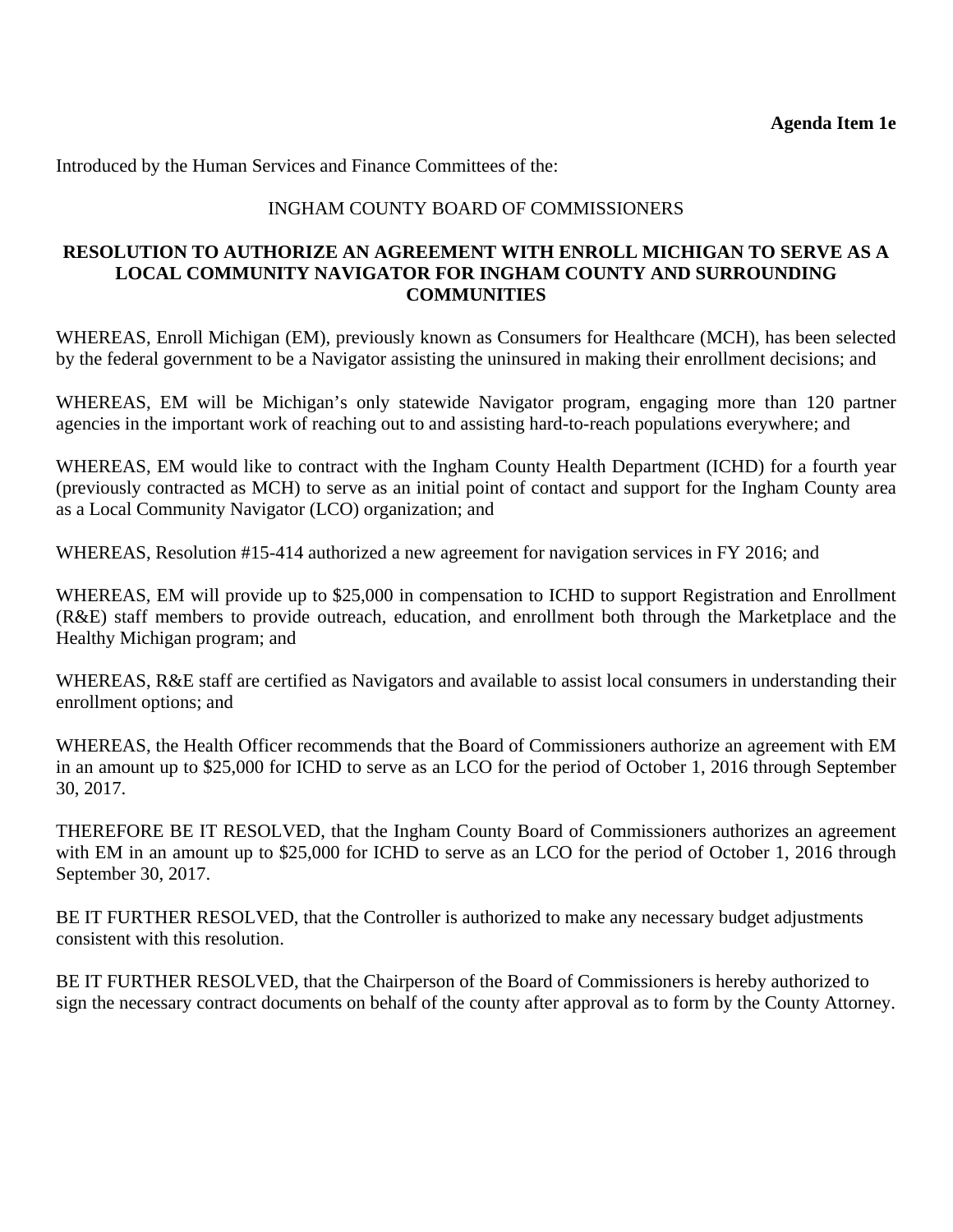Introduced by the Human Services and Finance Committees of the:

#### INGHAM COUNTY BOARD OF COMMISSIONERS

#### **RESOLUTION TO AUTHORIZE AN AGREEMENT WITH ENROLL MICHIGAN TO SERVE AS A LOCAL COMMUNITY NAVIGATOR FOR INGHAM COUNTY AND SURROUNDING COMMUNITIES**

WHEREAS, Enroll Michigan (EM), previously known as Consumers for Healthcare (MCH), has been selected by the federal government to be a Navigator assisting the uninsured in making their enrollment decisions; and

WHEREAS, EM will be Michigan's only statewide Navigator program, engaging more than 120 partner agencies in the important work of reaching out to and assisting hard-to-reach populations everywhere; and

WHEREAS, EM would like to contract with the Ingham County Health Department (ICHD) for a fourth year (previously contracted as MCH) to serve as an initial point of contact and support for the Ingham County area as a Local Community Navigator (LCO) organization; and

WHEREAS, Resolution #15-414 authorized a new agreement for navigation services in FY 2016; and

WHEREAS, EM will provide up to \$25,000 in compensation to ICHD to support Registration and Enrollment (R&E) staff members to provide outreach, education, and enrollment both through the Marketplace and the Healthy Michigan program; and

WHEREAS, R&E staff are certified as Navigators and available to assist local consumers in understanding their enrollment options; and

WHEREAS, the Health Officer recommends that the Board of Commissioners authorize an agreement with EM in an amount up to \$25,000 for ICHD to serve as an LCO for the period of October 1, 2016 through September 30, 2017.

THEREFORE BE IT RESOLVED, that the Ingham County Board of Commissioners authorizes an agreement with EM in an amount up to \$25,000 for ICHD to serve as an LCO for the period of October 1, 2016 through September 30, 2017.

BE IT FURTHER RESOLVED, that the Controller is authorized to make any necessary budget adjustments consistent with this resolution.

BE IT FURTHER RESOLVED, that the Chairperson of the Board of Commissioners is hereby authorized to sign the necessary contract documents on behalf of the county after approval as to form by the County Attorney.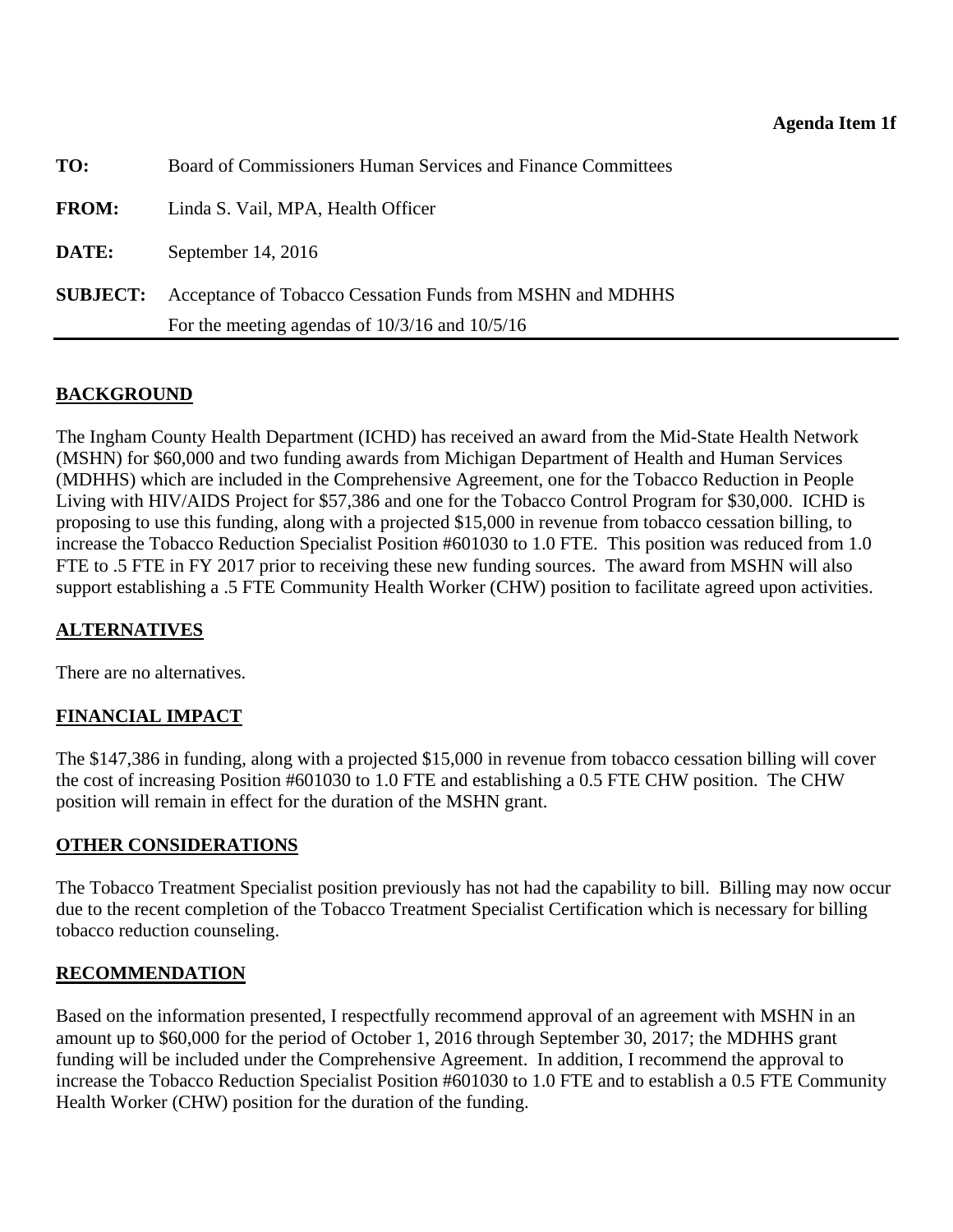<span id="page-25-0"></span>

| TO:             | Board of Commissioners Human Services and Finance Committees |
|-----------------|--------------------------------------------------------------|
| <b>FROM:</b>    | Linda S. Vail, MPA, Health Officer                           |
| DATE:           | September 14, $2016$                                         |
| <b>SUBJECT:</b> | Acceptance of Tobacco Cessation Funds from MSHN and MDHHS    |
|                 | For the meeting agendas of $10/3/16$ and $10/5/16$           |

The Ingham County Health Department (ICHD) has received an award from the Mid-State Health Network (MSHN) for \$60,000 and two funding awards from Michigan Department of Health and Human Services (MDHHS) which are included in the Comprehensive Agreement, one for the Tobacco Reduction in People Living with HIV/AIDS Project for \$57,386 and one for the Tobacco Control Program for \$30,000. ICHD is proposing to use this funding, along with a projected \$15,000 in revenue from tobacco cessation billing, to increase the Tobacco Reduction Specialist Position #601030 to 1.0 FTE. This position was reduced from 1.0 FTE to .5 FTE in FY 2017 prior to receiving these new funding sources. The award from MSHN will also support establishing a .5 FTE Community Health Worker (CHW) position to facilitate agreed upon activities.

# **ALTERNATIVES**

There are no alternatives.

# **FINANCIAL IMPACT**

The \$147,386 in funding, along with a projected \$15,000 in revenue from tobacco cessation billing will cover the cost of increasing Position #601030 to 1.0 FTE and establishing a 0.5 FTE CHW position. The CHW position will remain in effect for the duration of the MSHN grant.

## **OTHER CONSIDERATIONS**

The Tobacco Treatment Specialist position previously has not had the capability to bill. Billing may now occur due to the recent completion of the Tobacco Treatment Specialist Certification which is necessary for billing tobacco reduction counseling.

## **RECOMMENDATION**

Based on the information presented, I respectfully recommend approval of an agreement with MSHN in an amount up to \$60,000 for the period of October 1, 2016 through September 30, 2017; the MDHHS grant funding will be included under the Comprehensive Agreement. In addition, I recommend the approval to increase the Tobacco Reduction Specialist Position #601030 to 1.0 FTE and to establish a 0.5 FTE Community Health Worker (CHW) position for the duration of the funding.